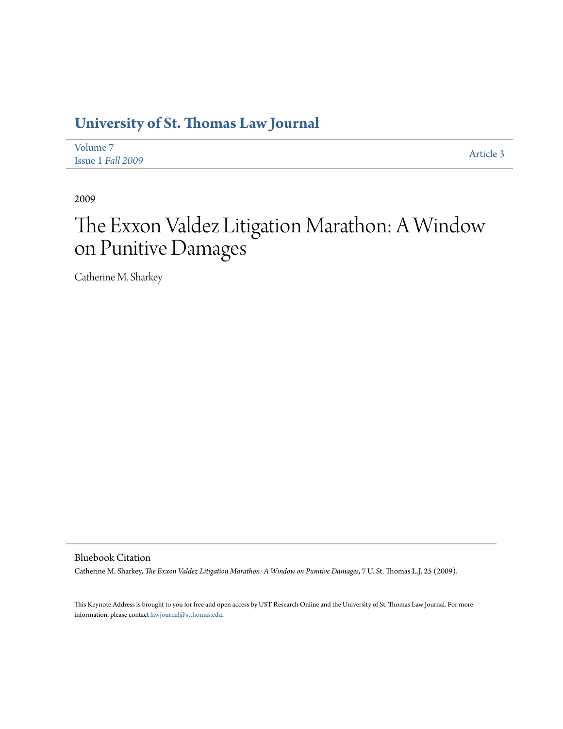## **[University of St. Thomas Law Journal](http://ir.stthomas.edu/ustlj)**

| Volume 7          | Article 3 |
|-------------------|-----------|
| Issue 1 Fall 2009 |           |

2009

# The Exxon Valdez Litigation Marathon: A Window on Punitive Damages

Catherine M. Sharkey

Bluebook Citation

Catherine M. Sharkey, *The Exxon Valdez Litigation Marathon: A Window on Punitive Damages*, 7 U. St. Thomas L.J. 25 (2009).

This Keynote Address is brought to you for free and open access by UST Research Online and the University of St. Thomas Law Journal. For more information, please contact [lawjournal@stthomas.edu.](mailto:lawjournal@stthomas.edu)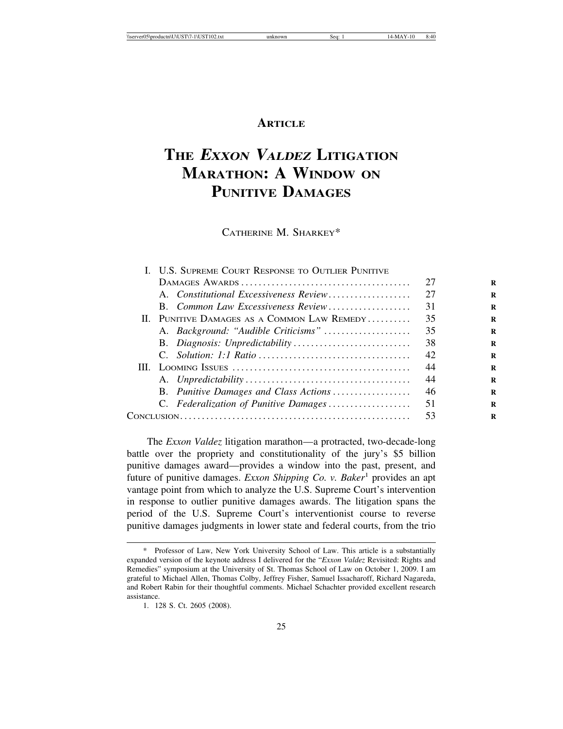### **ARTICLE**

## **THE <sup>E</sup>XXON VALDEZ LITIGATION MARATHON: A WINDOW ON PUNITIVE DAMAGES**

CATHERINE M. SHARKEY\*

| I. U.S. SUPREME COURT RESPONSE TO OUTLIER PUNITIVE |    |
|----------------------------------------------------|----|
|                                                    | 27 |
| A. Constitutional Excessiveness Review             | 27 |
| B. Common Law Excessiveness Review                 | 31 |
| II. PUNITIVE DAMAGES AS A COMMON LAW REMEDY        | 35 |
| A. Background: "Audible Criticisms"                | 35 |
|                                                    | 38 |
|                                                    | 42 |
|                                                    | 44 |
|                                                    | 44 |
| B. Punitive Damages and Class Actions              | 46 |
| C. Federalization of Punitive Damages              | 51 |
|                                                    | 53 |
|                                                    |    |

The *Exxon Valdez* litigation marathon—a protracted, two-decade-long battle over the propriety and constitutionality of the jury's \$5 billion punitive damages award—provides a window into the past, present, and future of punitive damages. *Exxon Shipping Co. v. Baker*<sup>1</sup> provides an apt vantage point from which to analyze the U.S. Supreme Court's intervention in response to outlier punitive damages awards. The litigation spans the period of the U.S. Supreme Court's interventionist course to reverse punitive damages judgments in lower state and federal courts, from the trio

Professor of Law, New York University School of Law. This article is a substantially expanded version of the keynote address I delivered for the "*Exxon Valdez* Revisited: Rights and Remedies" symposium at the University of St. Thomas School of Law on October 1, 2009. I am grateful to Michael Allen, Thomas Colby, Jeffrey Fisher, Samuel Issacharoff, Richard Nagareda, and Robert Rabin for their thoughtful comments. Michael Schachter provided excellent research assistance.

<sup>1. 128</sup> S. Ct. 2605 (2008).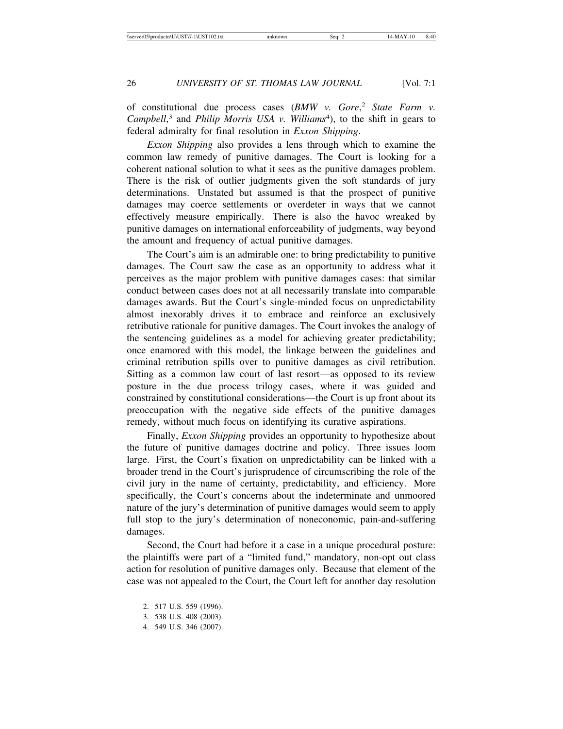of constitutional due process cases (*BMW v. Gore*, <sup>2</sup> *State Farm v.* Campbell,<sup>3</sup> and *Philip Morris USA v. Williams<sup>4</sup>*), to the shift in gears to federal admiralty for final resolution in *Exxon Shipping*.

*Exxon Shipping* also provides a lens through which to examine the common law remedy of punitive damages. The Court is looking for a coherent national solution to what it sees as the punitive damages problem. There is the risk of outlier judgments given the soft standards of jury determinations. Unstated but assumed is that the prospect of punitive damages may coerce settlements or overdeter in ways that we cannot effectively measure empirically. There is also the havoc wreaked by punitive damages on international enforceability of judgments, way beyond the amount and frequency of actual punitive damages.

The Court's aim is an admirable one: to bring predictability to punitive damages. The Court saw the case as an opportunity to address what it perceives as the major problem with punitive damages cases: that similar conduct between cases does not at all necessarily translate into comparable damages awards. But the Court's single-minded focus on unpredictability almost inexorably drives it to embrace and reinforce an exclusively retributive rationale for punitive damages. The Court invokes the analogy of the sentencing guidelines as a model for achieving greater predictability; once enamored with this model, the linkage between the guidelines and criminal retribution spills over to punitive damages as civil retribution. Sitting as a common law court of last resort—as opposed to its review posture in the due process trilogy cases, where it was guided and constrained by constitutional considerations—the Court is up front about its preoccupation with the negative side effects of the punitive damages remedy, without much focus on identifying its curative aspirations.

Finally, *Exxon Shipping* provides an opportunity to hypothesize about the future of punitive damages doctrine and policy. Three issues loom large. First, the Court's fixation on unpredictability can be linked with a broader trend in the Court's jurisprudence of circumscribing the role of the civil jury in the name of certainty, predictability, and efficiency. More specifically, the Court's concerns about the indeterminate and unmoored nature of the jury's determination of punitive damages would seem to apply full stop to the jury's determination of noneconomic, pain-and-suffering damages.

Second, the Court had before it a case in a unique procedural posture: the plaintiffs were part of a "limited fund," mandatory, non-opt out class action for resolution of punitive damages only. Because that element of the case was not appealed to the Court, the Court left for another day resolution

<sup>2. 517</sup> U.S. 559 (1996).

<sup>3. 538</sup> U.S. 408 (2003).

<sup>4. 549</sup> U.S. 346 (2007).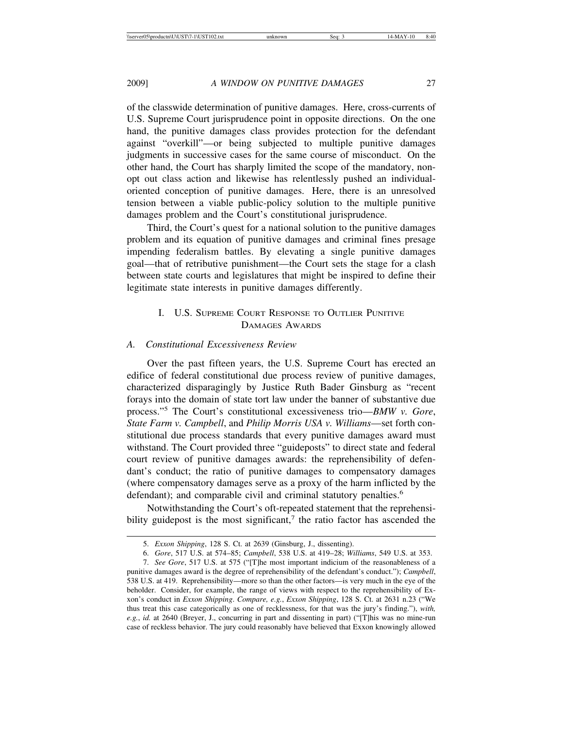of the classwide determination of punitive damages. Here, cross-currents of U.S. Supreme Court jurisprudence point in opposite directions. On the one hand, the punitive damages class provides protection for the defendant against "overkill"—or being subjected to multiple punitive damages judgments in successive cases for the same course of misconduct. On the other hand, the Court has sharply limited the scope of the mandatory, nonopt out class action and likewise has relentlessly pushed an individualoriented conception of punitive damages. Here, there is an unresolved tension between a viable public-policy solution to the multiple punitive damages problem and the Court's constitutional jurisprudence.

Third, the Court's quest for a national solution to the punitive damages problem and its equation of punitive damages and criminal fines presage impending federalism battles. By elevating a single punitive damages goal—that of retributive punishment—the Court sets the stage for a clash between state courts and legislatures that might be inspired to define their legitimate state interests in punitive damages differently.

#### I. U.S. SUPREME COURT RESPONSE TO OUTLIER PUNITIVE DAMAGES AWARDS

#### *A. Constitutional Excessiveness Review*

Over the past fifteen years, the U.S. Supreme Court has erected an edifice of federal constitutional due process review of punitive damages, characterized disparagingly by Justice Ruth Bader Ginsburg as "recent forays into the domain of state tort law under the banner of substantive due process."<sup>5</sup> The Court's constitutional excessiveness trio—*BMW v. Gore*, *State Farm v. Campbell*, and *Philip Morris USA v. Williams*—set forth constitutional due process standards that every punitive damages award must withstand. The Court provided three "guideposts" to direct state and federal court review of punitive damages awards: the reprehensibility of defendant's conduct; the ratio of punitive damages to compensatory damages (where compensatory damages serve as a proxy of the harm inflicted by the defendant); and comparable civil and criminal statutory penalties.<sup>6</sup>

Notwithstanding the Court's oft-repeated statement that the reprehensibility guidepost is the most significant, $7$  the ratio factor has ascended the

<sup>5.</sup> *Exxon Shipping*, 128 S. Ct. at 2639 (Ginsburg, J., dissenting).

<sup>6.</sup> *Gore*, 517 U.S. at 574–85; *Campbell*, 538 U.S. at 419–28; *Williams*, 549 U.S. at 353.

<sup>7.</sup> *See Gore*, 517 U.S. at 575 ("[T]he most important indicium of the reasonableness of a punitive damages award is the degree of reprehensibility of the defendant's conduct."); *Campbell*, 538 U.S. at 419. Reprehensibility—more so than the other factors—is very much in the eye of the beholder. Consider, for example, the range of views with respect to the reprehensibility of Exxon's conduct in *Exxon Shipping*. *Compare, e.g.*, *Exxon Shipping*, 128 S. Ct. at 2631 n.23 ("We thus treat this case categorically as one of recklessness, for that was the jury's finding."), *with, e.g.*, *id.* at 2640 (Breyer, J., concurring in part and dissenting in part) ("[T]his was no mine-run case of reckless behavior. The jury could reasonably have believed that Exxon knowingly allowed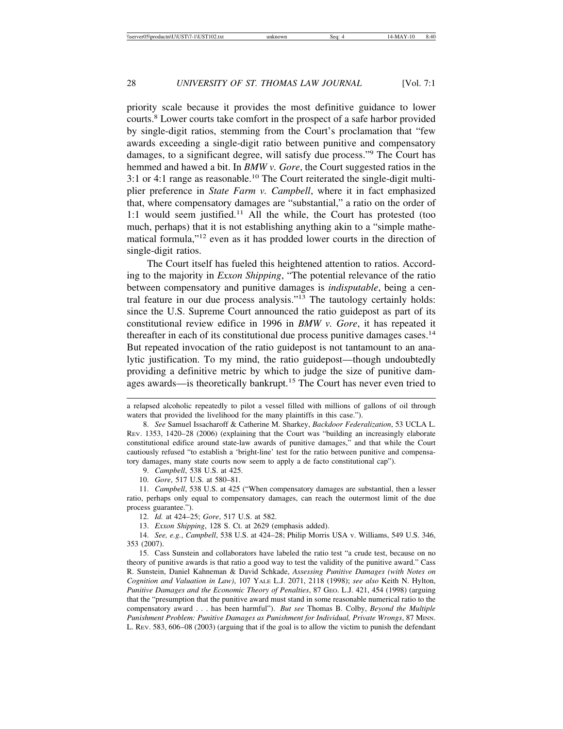priority scale because it provides the most definitive guidance to lower courts.<sup>8</sup> Lower courts take comfort in the prospect of a safe harbor provided by single-digit ratios, stemming from the Court's proclamation that "few awards exceeding a single-digit ratio between punitive and compensatory damages, to a significant degree, will satisfy due process."<sup>9</sup> The Court has hemmed and hawed a bit. In *BMW v. Gore*, the Court suggested ratios in the 3:1 or 4:1 range as reasonable.10 The Court reiterated the single-digit multiplier preference in *State Farm v. Campbell*, where it in fact emphasized that, where compensatory damages are "substantial," a ratio on the order of 1:1 would seem justified.11 All the while, the Court has protested (too much, perhaps) that it is not establishing anything akin to a "simple mathematical formula,"12 even as it has prodded lower courts in the direction of single-digit ratios.

The Court itself has fueled this heightened attention to ratios. According to the majority in *Exxon Shipping*, "The potential relevance of the ratio between compensatory and punitive damages is *indisputable*, being a central feature in our due process analysis."<sup>13</sup> The tautology certainly holds: since the U.S. Supreme Court announced the ratio guidepost as part of its constitutional review edifice in 1996 in *BMW v. Gore*, it has repeated it thereafter in each of its constitutional due process punitive damages cases.<sup>14</sup> But repeated invocation of the ratio guidepost is not tantamount to an analytic justification. To my mind, the ratio guidepost—though undoubtedly providing a definitive metric by which to judge the size of punitive damages awards—is theoretically bankrupt.<sup>15</sup> The Court has never even tried to

9. *Campbell*, 538 U.S. at 425.

10. *Gore*, 517 U.S. at 580–81.

11. *Campbell*, 538 U.S. at 425 ("When compensatory damages are substantial, then a lesser ratio, perhaps only equal to compensatory damages, can reach the outermost limit of the due process guarantee.").

12. *Id.* at 424–25; *Gore*, 517 U.S. at 582.

13. *Exxon Shipping*, 128 S. Ct. at 2629 (emphasis added).

14. *See, e.g.*, *Campbell*, 538 U.S. at 424–28; Philip Morris USA v. Williams, 549 U.S. 346, 353 (2007).

15. Cass Sunstein and collaborators have labeled the ratio test "a crude test, because on no theory of punitive awards is that ratio a good way to test the validity of the punitive award." Cass R. Sunstein, Daniel Kahneman & David Schkade, *Assessing Punitive Damages (with Notes on Cognition and Valuation in Law)*, 107 YALE L.J. 2071, 2118 (1998); *see also* Keith N. Hylton, *Punitive Damages and the Economic Theory of Penalties*, 87 GEO. L.J. 421, 454 (1998) (arguing that the "presumption that the punitive award must stand in some reasonable numerical ratio to the compensatory award . . . has been harmful"). *But see* Thomas B. Colby, *Beyond the Multiple Punishment Problem: Punitive Damages as Punishment for Individual, Private Wrongs*, 87 MINN. L. REV. 583, 606–08 (2003) (arguing that if the goal is to allow the victim to punish the defendant

a relapsed alcoholic repeatedly to pilot a vessel filled with millions of gallons of oil through waters that provided the livelihood for the many plaintiffs in this case.").

<sup>8.</sup> *See* Samuel Issacharoff & Catherine M. Sharkey, *Backdoor Federalization*, 53 UCLA L. REV. 1353, 1420–28 (2006) (explaining that the Court was "building an increasingly elaborate constitutional edifice around state-law awards of punitive damages," and that while the Court cautiously refused "to establish a 'bright-line' test for the ratio between punitive and compensatory damages, many state courts now seem to apply a de facto constitutional cap").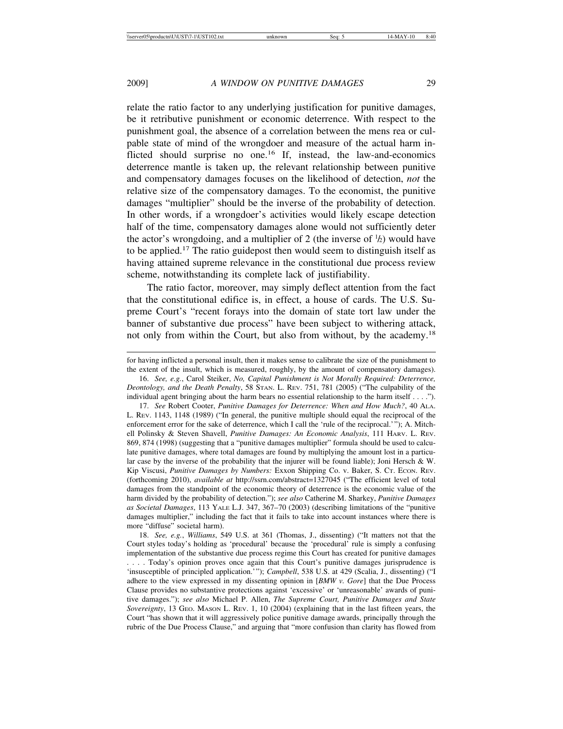relate the ratio factor to any underlying justification for punitive damages, be it retributive punishment or economic deterrence. With respect to the punishment goal, the absence of a correlation between the mens rea or culpable state of mind of the wrongdoer and measure of the actual harm inflicted should surprise no one.<sup>16</sup> If, instead, the law-and-economics deterrence mantle is taken up, the relevant relationship between punitive and compensatory damages focuses on the likelihood of detection, *not* the relative size of the compensatory damages. To the economist, the punitive damages "multiplier" should be the inverse of the probability of detection. In other words, if a wrongdoer's activities would likely escape detection half of the time, compensatory damages alone would not sufficiently deter the actor's wrongdoing, and a multiplier of 2 (the inverse of  $\frac{1}{2}$ ) would have to be applied.17 The ratio guidepost then would seem to distinguish itself as having attained supreme relevance in the constitutional due process review scheme, notwithstanding its complete lack of justifiability.

The ratio factor, moreover, may simply deflect attention from the fact that the constitutional edifice is, in effect, a house of cards. The U.S. Supreme Court's "recent forays into the domain of state tort law under the banner of substantive due process" have been subject to withering attack, not only from within the Court, but also from without, by the academy.<sup>18</sup>

for having inflicted a personal insult, then it makes sense to calibrate the size of the punishment to the extent of the insult, which is measured, roughly, by the amount of compensatory damages).

<sup>16.</sup> *See, e.g.*, Carol Steiker, *No, Capital Punishment is Not Morally Required: Deterrence, Deontology, and the Death Penalty*, 58 STAN. L. REV. 751, 781 (2005) ("The culpability of the individual agent bringing about the harm bears no essential relationship to the harm itself . . . .").

<sup>17.</sup> *See* Robert Cooter, *Punitive Damages for Deterrence: When and How Much?*, 40 ALA. L. REV. 1143, 1148 (1989) ("In general, the punitive multiple should equal the reciprocal of the enforcement error for the sake of deterrence, which I call the 'rule of the reciprocal.'"); A. Mitchell Polinsky & Steven Shavell, *Punitive Damages: An Economic Analysis*, 111 HARV. L. REV. 869, 874 (1998) (suggesting that a "punitive damages multiplier" formula should be used to calculate punitive damages, where total damages are found by multiplying the amount lost in a particular case by the inverse of the probability that the injurer will be found liable); Joni Hersch  $\&$  W. Kip Viscusi, *Punitive Damages by Numbers:* Exxon Shipping Co. v. Baker, S. CT. ECON. REV. (forthcoming 2010), *available at* http://ssrn.com/abstract=1327045 ("The efficient level of total damages from the standpoint of the economic theory of deterrence is the economic value of the harm divided by the probability of detection."); *see also* Catherine M. Sharkey, *Punitive Damages as Societal Damages*, 113 YALE L.J. 347, 367–70 (2003) (describing limitations of the "punitive damages multiplier," including the fact that it fails to take into account instances where there is more "diffuse" societal harm).

<sup>18.</sup> *See, e.g.*, *Williams*, 549 U.S. at 361 (Thomas, J., dissenting) ("It matters not that the Court styles today's holding as 'procedural' because the 'procedural' rule is simply a confusing implementation of the substantive due process regime this Court has created for punitive damages

<sup>. . . .</sup> Today's opinion proves once again that this Court's punitive damages jurisprudence is 'insusceptible of principled application.'"); *Campbell*, 538 U.S. at 429 (Scalia, J., dissenting) ("I adhere to the view expressed in my dissenting opinion in [*BMW v. Gore*] that the Due Process Clause provides no substantive protections against 'excessive' or 'unreasonable' awards of punitive damages."); *see also* Michael P. Allen, *The Supreme Court, Punitive Damages and State Sovereignty*, 13 GEO. MASON L. REV. 1, 10 (2004) (explaining that in the last fifteen years, the Court "has shown that it will aggressively police punitive damage awards, principally through the rubric of the Due Process Clause," and arguing that "more confusion than clarity has flowed from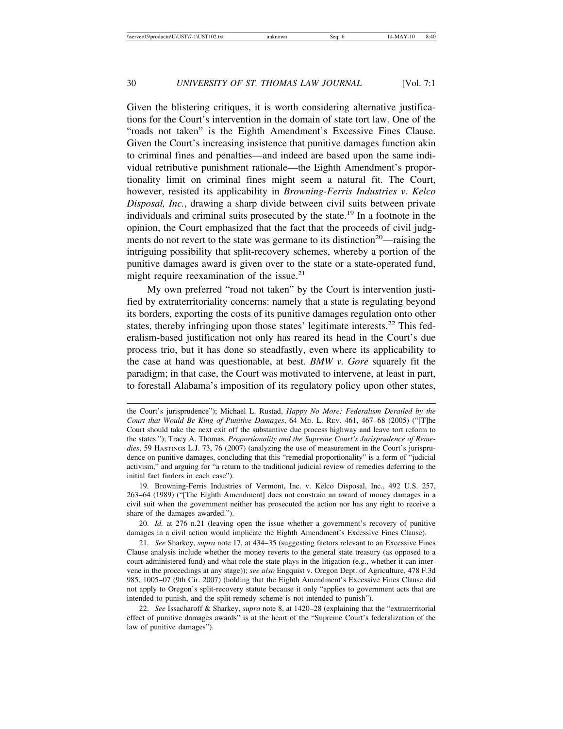Given the blistering critiques, it is worth considering alternative justifications for the Court's intervention in the domain of state tort law. One of the "roads not taken" is the Eighth Amendment's Excessive Fines Clause. Given the Court's increasing insistence that punitive damages function akin to criminal fines and penalties—and indeed are based upon the same individual retributive punishment rationale—the Eighth Amendment's proportionality limit on criminal fines might seem a natural fit. The Court, however, resisted its applicability in *Browning-Ferris Industries v. Kelco Disposal, Inc.*, drawing a sharp divide between civil suits between private individuals and criminal suits prosecuted by the state.19 In a footnote in the opinion, the Court emphasized that the fact that the proceeds of civil judgments do not revert to the state was germane to its distinction<sup>20</sup>—raising the intriguing possibility that split-recovery schemes, whereby a portion of the punitive damages award is given over to the state or a state-operated fund, might require reexamination of the issue. $21$ 

My own preferred "road not taken" by the Court is intervention justified by extraterritoriality concerns: namely that a state is regulating beyond its borders, exporting the costs of its punitive damages regulation onto other states, thereby infringing upon those states' legitimate interests.<sup>22</sup> This federalism-based justification not only has reared its head in the Court's due process trio, but it has done so steadfastly, even where its applicability to the case at hand was questionable, at best. *BMW v. Gore* squarely fit the paradigm; in that case, the Court was motivated to intervene, at least in part, to forestall Alabama's imposition of its regulatory policy upon other states,

19. Browning-Ferris Industries of Vermont, Inc. v. Kelco Disposal, Inc., 492 U.S. 257, 263–64 (1989) ("[The Eighth Amendment] does not constrain an award of money damages in a civil suit when the government neither has prosecuted the action nor has any right to receive a share of the damages awarded.").

20. *Id.* at 276 n.21 (leaving open the issue whether a government's recovery of punitive damages in a civil action would implicate the Eighth Amendment's Excessive Fines Clause).

21. *See* Sharkey, *supra* note 17, at 434–35 (suggesting factors relevant to an Excessive Fines Clause analysis include whether the money reverts to the general state treasury (as opposed to a court-administered fund) and what role the state plays in the litigation (e.g., whether it can intervene in the proceedings at any stage)); *see also* Engquist v. Oregon Dept. of Agriculture, 478 F.3d 985, 1005–07 (9th Cir. 2007) (holding that the Eighth Amendment's Excessive Fines Clause did not apply to Oregon's split-recovery statute because it only "applies to government acts that are intended to punish, and the split-remedy scheme is not intended to punish").

22. *See* Issacharoff & Sharkey, *supra* note 8, at 1420–28 (explaining that the "extraterritorial effect of punitive damages awards" is at the heart of the "Supreme Court's federalization of the law of punitive damages").

the Court's jurisprudence"); Michael L. Rustad, *Happy No More: Federalism Derailed by the Court that Would Be King of Punitive Damages*, 64 MD. L. REV. 461, 467–68 (2005) ("[T]he Court should take the next exit off the substantive due process highway and leave tort reform to the states."); Tracy A. Thomas, *Proportionality and the Supreme Court's Jurisprudence of Remedies*, 59 HASTINGS L.J. 73, 76 (2007) (analyzing the use of measurement in the Court's jurisprudence on punitive damages, concluding that this "remedial proportionality" is a form of "judicial activism," and arguing for "a return to the traditional judicial review of remedies deferring to the initial fact finders in each case").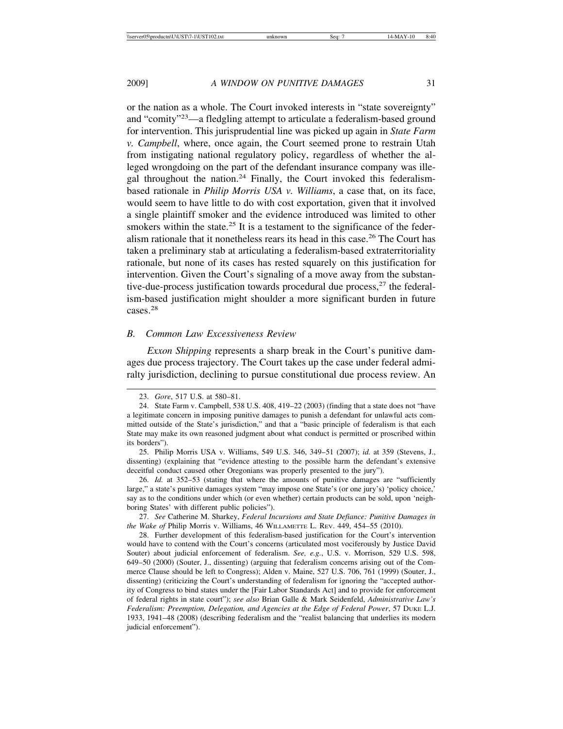or the nation as a whole. The Court invoked interests in "state sovereignty" and "comity"<sup>23</sup>—a fledgling attempt to articulate a federalism-based ground for intervention. This jurisprudential line was picked up again in *State Farm v. Campbell*, where, once again, the Court seemed prone to restrain Utah from instigating national regulatory policy, regardless of whether the alleged wrongdoing on the part of the defendant insurance company was illegal throughout the nation.<sup>24</sup> Finally, the Court invoked this federalismbased rationale in *Philip Morris USA v. Williams*, a case that, on its face, would seem to have little to do with cost exportation, given that it involved a single plaintiff smoker and the evidence introduced was limited to other smokers within the state.<sup>25</sup> It is a testament to the significance of the federalism rationale that it nonetheless rears its head in this case.<sup>26</sup> The Court has taken a preliminary stab at articulating a federalism-based extraterritoriality rationale, but none of its cases has rested squarely on this justification for intervention. Given the Court's signaling of a move away from the substantive-due-process justification towards procedural due process, $27$  the federalism-based justification might shoulder a more significant burden in future cases.28

#### *B. Common Law Excessiveness Review*

*Exxon Shipping* represents a sharp break in the Court's punitive damages due process trajectory. The Court takes up the case under federal admiralty jurisdiction, declining to pursue constitutional due process review. An

25. Philip Morris USA v. Williams, 549 U.S. 346, 349–51 (2007); *id.* at 359 (Stevens, J., dissenting) (explaining that "evidence attesting to the possible harm the defendant's extensive deceitful conduct caused other Oregonians was properly presented to the jury").

26. *Id.* at 352–53 (stating that where the amounts of punitive damages are "sufficiently large," a state's punitive damages system "may impose one State's (or one jury's) 'policy choice,' say as to the conditions under which (or even whether) certain products can be sold, upon 'neighboring States' with different public policies").

27. *See* Catherine M. Sharkey, *Federal Incursions and State Defiance: Punitive Damages in the Wake of* Philip Morris v. Williams, 46 WILLAMETTE L. REV. 449, 454–55 (2010).

28. Further development of this federalism-based justification for the Court's intervention would have to contend with the Court's concerns (articulated most vociferously by Justice David Souter) about judicial enforcement of federalism. *See, e.g.*, U.S. v. Morrison, 529 U.S. 598, 649–50 (2000) (Souter, J., dissenting) (arguing that federalism concerns arising out of the Commerce Clause should be left to Congress); Alden v. Maine, 527 U.S. 706, 761 (1999) (Souter, J., dissenting) (criticizing the Court's understanding of federalism for ignoring the "accepted authority of Congress to bind states under the [Fair Labor Standards Act] and to provide for enforcement of federal rights in state court"); *see also* Brian Galle & Mark Seidenfeld, *Administrative Law's Federalism: Preemption, Delegation, and Agencies at the Edge of Federal Power*, 57 DUKE L.J. 1933, 1941–48 (2008) (describing federalism and the "realist balancing that underlies its modern judicial enforcement").

<sup>23.</sup> *Gore*, 517 U.S. at 580–81.

<sup>24.</sup> State Farm v. Campbell, 538 U.S. 408, 419–22 (2003) (finding that a state does not "have a legitimate concern in imposing punitive damages to punish a defendant for unlawful acts committed outside of the State's jurisdiction," and that a "basic principle of federalism is that each State may make its own reasoned judgment about what conduct is permitted or proscribed within its borders").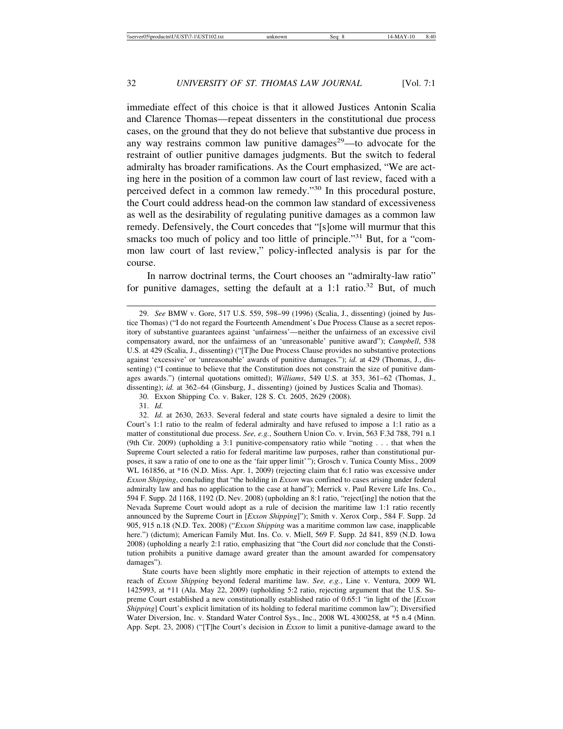immediate effect of this choice is that it allowed Justices Antonin Scalia and Clarence Thomas—repeat dissenters in the constitutional due process cases, on the ground that they do not believe that substantive due process in any way restrains common law punitive damages<sup>29</sup>—to advocate for the restraint of outlier punitive damages judgments. But the switch to federal admiralty has broader ramifications. As the Court emphasized, "We are acting here in the position of a common law court of last review, faced with a perceived defect in a common law remedy."30 In this procedural posture, the Court could address head-on the common law standard of excessiveness as well as the desirability of regulating punitive damages as a common law remedy. Defensively, the Court concedes that "[s]ome will murmur that this smacks too much of policy and too little of principle."<sup>31</sup> But, for a "common law court of last review," policy-inflected analysis is par for the course.

In narrow doctrinal terms, the Court chooses an "admiralty-law ratio" for punitive damages, setting the default at a 1:1 ratio.<sup>32</sup> But, of much

30. Exxon Shipping Co. v. Baker, 128 S. Ct. 2605, 2629 (2008).

31. *Id.*

32. *Id.* at 2630, 2633. Several federal and state courts have signaled a desire to limit the Court's 1:1 ratio to the realm of federal admiralty and have refused to impose a 1:1 ratio as a matter of constitutional due process. *See, e.g.*, Southern Union Co. v. Irvin, 563 F.3d 788, 791 n.1 (9th Cir. 2009) (upholding a 3:1 punitive-compensatory ratio while "noting . . . that when the Supreme Court selected a ratio for federal maritime law purposes, rather than constitutional purposes, it saw a ratio of one to one as the 'fair upper limit'"); Grosch v. Tunica County Miss., 2009 WL 161856, at \*16 (N.D. Miss. Apr. 1, 2009) (rejecting claim that 6:1 ratio was excessive under *Exxon Shipping*, concluding that "the holding in *Exxon* was confined to cases arising under federal admiralty law and has no application to the case at hand"); Merrick v. Paul Revere Life Ins. Co., 594 F. Supp. 2d 1168, 1192 (D. Nev. 2008) (upholding an 8:1 ratio, "reject[ing] the notion that the Nevada Supreme Court would adopt as a rule of decision the maritime law 1:1 ratio recently announced by the Supreme Court in [*Exxon Shipping*]"); Smith v. Xerox Corp., 584 F. Supp. 2d 905, 915 n.18 (N.D. Tex. 2008) ("*Exxon Shipping* was a maritime common law case, inapplicable here.") (dictum); American Family Mut. Ins. Co. v. Miell, 569 F. Supp. 2d 841, 859 (N.D. Iowa 2008) (upholding a nearly 2:1 ratio, emphasizing that "the Court did *not* conclude that the Constitution prohibits a punitive damage award greater than the amount awarded for compensatory damages").

State courts have been slightly more emphatic in their rejection of attempts to extend the reach of *Exxon Shipping* beyond federal maritime law. *See, e.g.*, Line v. Ventura, 2009 WL 1425993, at \*11 (Ala. May 22, 2009) (upholding 5:2 ratio, rejecting argument that the U.S. Supreme Court established a new constitutionally established ratio of 0.65:1 "in light of the [*Exxon Shipping*] Court's explicit limitation of its holding to federal maritime common law"); Diversified Water Diversion, Inc. v. Standard Water Control Sys., Inc., 2008 WL 4300258, at \*5 n.4 (Minn. App. Sept. 23, 2008) ("[T]he Court's decision in *Exxon* to limit a punitive-damage award to the

<sup>29.</sup> *See* BMW v. Gore, 517 U.S. 559, 598–99 (1996) (Scalia, J., dissenting) (joined by Justice Thomas) ("I do not regard the Fourteenth Amendment's Due Process Clause as a secret repository of substantive guarantees against 'unfairness'—neither the unfairness of an excessive civil compensatory award, nor the unfairness of an 'unreasonable' punitive award"); *Campbell*, 538 U.S. at 429 (Scalia, J., dissenting) ("[T]he Due Process Clause provides no substantive protections against 'excessive' or 'unreasonable' awards of punitive damages."); *id.* at 429 (Thomas, J., dissenting) ("I continue to believe that the Constitution does not constrain the size of punitive damages awards.") (internal quotations omitted); *Williams*, 549 U.S. at 353, 361–62 (Thomas, J., dissenting); *id.* at 362–64 (Ginsburg, J., dissenting) (joined by Justices Scalia and Thomas).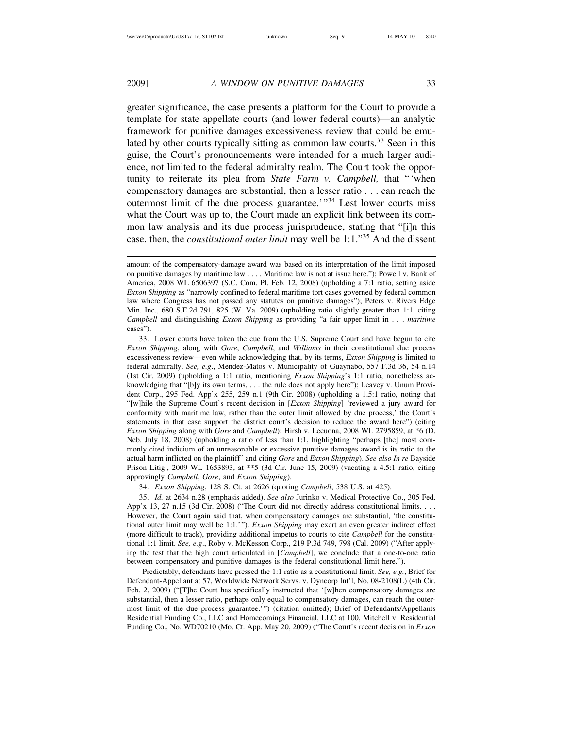greater significance, the case presents a platform for the Court to provide a template for state appellate courts (and lower federal courts)—an analytic framework for punitive damages excessiveness review that could be emulated by other courts typically sitting as common law courts.<sup>33</sup> Seen in this guise, the Court's pronouncements were intended for a much larger audience, not limited to the federal admiralty realm. The Court took the opportunity to reiterate its plea from *State Farm v. Campbell,* that "'when compensatory damages are substantial, then a lesser ratio . . . can reach the outermost limit of the due process guarantee.<sup>'"34</sup> Lest lower courts miss what the Court was up to, the Court made an explicit link between its common law analysis and its due process jurisprudence, stating that "[i]n this case, then, the *constitutional outer limit* may well be 1:1."35 And the dissent

34. *Exxon Shipping*, 128 S. Ct. at 2626 (quoting *Campbell*, 538 U.S. at 425).

35. *Id.* at 2634 n.28 (emphasis added). *See also* Jurinko v. Medical Protective Co., 305 Fed. App'x 13, 27 n.15 (3d Cir. 2008) ("The Court did not directly address constitutional limits. . . . However, the Court again said that, when compensatory damages are substantial, 'the constitutional outer limit may well be 1:1.'"). *Exxon Shipping* may exert an even greater indirect effect (more difficult to track), providing additional impetus to courts to cite *Campbell* for the constitutional 1:1 limit. *See, e.g*., Roby v. McKesson Corp., 219 P.3d 749, 798 (Cal. 2009) ("After applying the test that the high court articulated in [*Campbell*], we conclude that a one-to-one ratio between compensatory and punitive damages is the federal constitutional limit here.").

Predictably, defendants have pressed the 1:1 ratio as a constitutional limit. *See, e.g.*, Brief for Defendant-Appellant at 57, Worldwide Network Servs. v. Dyncorp Int'l, No. 08-2108(L) (4th Cir. Feb. 2, 2009) ("[T]he Court has specifically instructed that '[w]hen compensatory damages are substantial, then a lesser ratio, perhaps only equal to compensatory damages, can reach the outermost limit of the due process guarantee.'") (citation omitted); Brief of Defendants/Appellants Residential Funding Co., LLC and Homecomings Financial, LLC at 100, Mitchell v. Residential Funding Co., No. WD70210 (Mo. Ct. App. May 20, 2009) ("The Court's recent decision in *Exxon*

amount of the compensatory-damage award was based on its interpretation of the limit imposed on punitive damages by maritime law . . . . Maritime law is not at issue here."); Powell v. Bank of America, 2008 WL 6506397 (S.C. Com. Pl. Feb. 12, 2008) (upholding a 7:1 ratio, setting aside *Exxon Shipping* as "narrowly confined to federal maritime tort cases governed by federal common law where Congress has not passed any statutes on punitive damages"); Peters v. Rivers Edge Min. Inc., 680 S.E.2d 791, 825 (W. Va. 2009) (upholding ratio slightly greater than 1:1, citing *Campbell* and distinguishing *Exxon Shipping* as providing "a fair upper limit in . . . *maritime* cases").

<sup>33.</sup> Lower courts have taken the cue from the U.S. Supreme Court and have begun to cite *Exxon Shipping*, along with *Gore*, *Campbell*, and *Williams* in their constitutional due process excessiveness review—even while acknowledging that, by its terms, *Exxon Shipping* is limited to federal admiralty. *See, e.g*., Mendez-Matos v. Municipality of Guaynabo, 557 F.3d 36, 54 n.14 (1st Cir. 2009) (upholding a 1:1 ratio, mentioning *Exxon Shipping*'s 1:1 ratio, nonetheless acknowledging that "[b]y its own terms, . . . the rule does not apply here"); Leavey v. Unum Provident Corp., 295 Fed. App'x 255, 259 n.1 (9th Cir. 2008) (upholding a 1.5:1 ratio, noting that "[w]hile the Supreme Court's recent decision in [*Exxon Shipping*] 'reviewed a jury award for conformity with maritime law, rather than the outer limit allowed by due process,' the Court's statements in that case support the district court's decision to reduce the award here") (citing *Exxon Shipping* along with *Gore* and *Campbell*); Hirsh v. Lecuona, 2008 WL 2795859, at \*6 (D. Neb. July 18, 2008) (upholding a ratio of less than 1:1, highlighting "perhaps [the] most commonly cited indicium of an unreasonable or excessive punitive damages award is its ratio to the actual harm inflicted on the plaintiff" and citing *Gore* and *Exxon Shipping*). *See also In re* Bayside Prison Litig., 2009 WL 1653893, at \*\*5 (3d Cir. June 15, 2009) (vacating a 4.5:1 ratio, citing approvingly *Campbell*, *Gore*, and *Exxon Shipping*).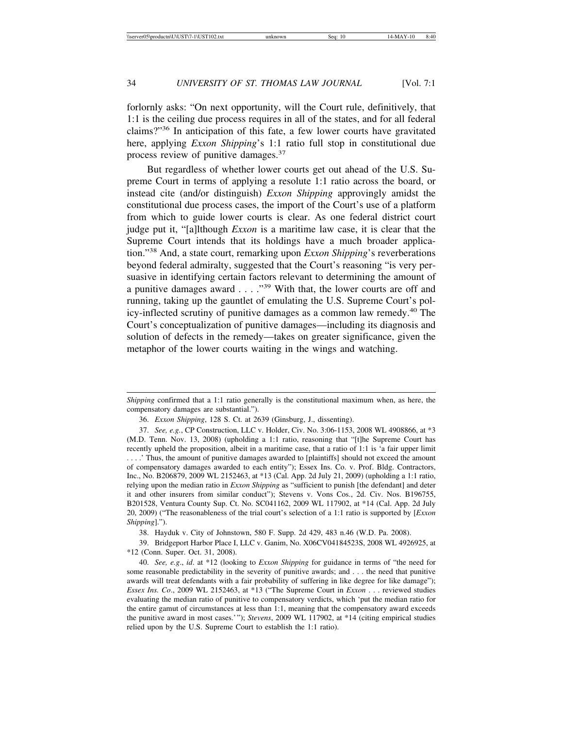forlornly asks: "On next opportunity, will the Court rule, definitively, that 1:1 is the ceiling due process requires in all of the states, and for all federal claims?"36 In anticipation of this fate, a few lower courts have gravitated here, applying *Exxon Shipping*'s 1:1 ratio full stop in constitutional due process review of punitive damages.<sup>37</sup>

But regardless of whether lower courts get out ahead of the U.S. Supreme Court in terms of applying a resolute 1:1 ratio across the board, or instead cite (and/or distinguish) *Exxon Shipping* approvingly amidst the constitutional due process cases, the import of the Court's use of a platform from which to guide lower courts is clear. As one federal district court judge put it, "[a]lthough *Exxon* is a maritime law case, it is clear that the Supreme Court intends that its holdings have a much broader application."38 And, a state court, remarking upon *Exxon Shipping*'s reverberations beyond federal admiralty, suggested that the Court's reasoning "is very persuasive in identifying certain factors relevant to determining the amount of a punitive damages award . . . . "39 With that, the lower courts are off and running, taking up the gauntlet of emulating the U.S. Supreme Court's policy-inflected scrutiny of punitive damages as a common law remedy.<sup>40</sup> The Court's conceptualization of punitive damages—including its diagnosis and solution of defects in the remedy—takes on greater significance, given the metaphor of the lower courts waiting in the wings and watching.

38. Hayduk v. City of Johnstown, 580 F. Supp. 2d 429, 483 n.46 (W.D. Pa. 2008).

39. Bridgeport Harbor Place I, LLC v. Ganim, No. X06CV04184523S, 2008 WL 4926925, at \*12 (Conn. Super. Oct. 31, 2008).

40. *See, e.g*., *id*. at \*12 (looking to *Exxon Shipping* for guidance in terms of "the need for some reasonable predictability in the severity of punitive awards; and . . . the need that punitive awards will treat defendants with a fair probability of suffering in like degree for like damage"); *Essex Ins. Co*., 2009 WL 2152463, at \*13 ("The Supreme Court in *Exxon* . . . reviewed studies evaluating the median ratio of punitive to compensatory verdicts, which 'put the median ratio for the entire gamut of circumstances at less than 1:1, meaning that the compensatory award exceeds the punitive award in most cases.'"); *Stevens*, 2009 WL 117902, at \*14 (citing empirical studies relied upon by the U.S. Supreme Court to establish the 1:1 ratio).

*Shipping* confirmed that a 1:1 ratio generally is the constitutional maximum when, as here, the compensatory damages are substantial.").

<sup>36.</sup> *Exxon Shipping*, 128 S. Ct. at 2639 (Ginsburg, J., dissenting).

<sup>37.</sup> *See, e.g.*, CP Construction, LLC v. Holder, Civ. No. 3:06-1153, 2008 WL 4908866, at \*3 (M.D. Tenn. Nov. 13, 2008) (upholding a 1:1 ratio, reasoning that "[t]he Supreme Court has recently upheld the proposition, albeit in a maritime case, that a ratio of 1:1 is 'a fair upper limit . . . .' Thus, the amount of punitive damages awarded to [plaintiffs] should not exceed the amount of compensatory damages awarded to each entity"); Essex Ins. Co. v. Prof. Bldg. Contractors, Inc., No. B206879, 2009 WL 2152463, at \*13 (Cal. App. 2d July 21, 2009) (upholding a 1:1 ratio, relying upon the median ratio in *Exxon Shipping* as "sufficient to punish [the defendant] and deter it and other insurers from similar conduct"); Stevens v. Vons Cos., 2d. Civ. Nos. B196755, B201528, Ventura County Sup. Ct. No. SC041162, 2009 WL 117902, at \*14 (Cal. App. 2d July 20, 2009) ("The reasonableness of the trial court's selection of a 1:1 ratio is supported by [*Exxon Shipping*].").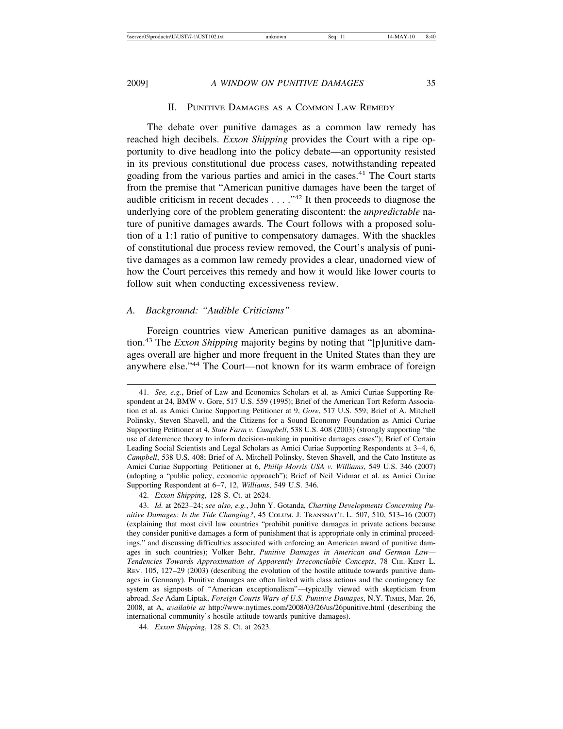#### II. PUNITIVE DAMAGES AS A COMMON LAW REMEDY

The debate over punitive damages as a common law remedy has reached high decibels. *Exxon Shipping* provides the Court with a ripe opportunity to dive headlong into the policy debate—an opportunity resisted in its previous constitutional due process cases, notwithstanding repeated goading from the various parties and amici in the cases.<sup>41</sup> The Court starts from the premise that "American punitive damages have been the target of audible criticism in recent decades  $\dots$  ."<sup>42</sup> It then proceeds to diagnose the underlying core of the problem generating discontent: the *unpredictable* nature of punitive damages awards. The Court follows with a proposed solution of a 1:1 ratio of punitive to compensatory damages. With the shackles of constitutional due process review removed, the Court's analysis of punitive damages as a common law remedy provides a clear, unadorned view of how the Court perceives this remedy and how it would like lower courts to follow suit when conducting excessiveness review.

#### *A. Background: "Audible Criticisms"*

Foreign countries view American punitive damages as an abomination.43 The *Exxon Shipping* majority begins by noting that "[p]unitive damages overall are higher and more frequent in the United States than they are anywhere else."44 The Court—not known for its warm embrace of foreign

<sup>41.</sup> *See, e.g.*, Brief of Law and Economics Scholars et al. as Amici Curiae Supporting Respondent at 24, BMW v. Gore, 517 U.S. 559 (1995); Brief of the American Tort Reform Association et al. as Amici Curiae Supporting Petitioner at 9, *Gore*, 517 U.S. 559; Brief of A. Mitchell Polinsky, Steven Shavell, and the Citizens for a Sound Economy Foundation as Amici Curiae Supporting Petitioner at 4, *State Farm v. Campbell*, 538 U.S. 408 (2003) (strongly supporting "the use of deterrence theory to inform decision-making in punitive damages cases"); Brief of Certain Leading Social Scientists and Legal Scholars as Amici Curiae Supporting Respondents at 3–4, 6, *Campbell*, 538 U.S. 408; Brief of A. Mitchell Polinsky, Steven Shavell, and the Cato Institute as Amici Curiae Supporting Petitioner at 6, *Philip Morris USA v. Williams*, 549 U.S. 346 (2007) (adopting a "public policy, economic approach"); Brief of Neil Vidmar et al. as Amici Curiae Supporting Respondent at 6–7, 12, *Williams*, 549 U.S. 346.

<sup>42.</sup> *Exxon Shipping*, 128 S. Ct. at 2624.

<sup>43.</sup> *Id.* at 2623–24; *see also, e.g.*, John Y. Gotanda, *Charting Developments Concerning Punitive Damages: Is the Tide Changing?*, 45 COLUM. J. TRANSNAT'L L. 507, 510, 513–16 (2007) (explaining that most civil law countries "prohibit punitive damages in private actions because they consider punitive damages a form of punishment that is appropriate only in criminal proceedings," and discussing difficulties associated with enforcing an American award of punitive damages in such countries); Volker Behr, *Punitive Damages in American and German Law— Tendencies Towards Approximation of Apparently Irreconcilable Concepts*, 78 CHI.-KENT L. REV. 105, 127–29 (2003) (describing the evolution of the hostile attitude towards punitive damages in Germany). Punitive damages are often linked with class actions and the contingency fee system as signposts of "American exceptionalism"—typically viewed with skepticism from abroad. *See* Adam Liptak, *Foreign Courts Wary of U.S. Punitive Damages*, N.Y. TIMES, Mar. 26, 2008, at A, *available at* http://www.nytimes.com/2008/03/26/us/26punitive.html (describing the international community's hostile attitude towards punitive damages).

<sup>44.</sup> *Exxon Shipping*, 128 S. Ct. at 2623.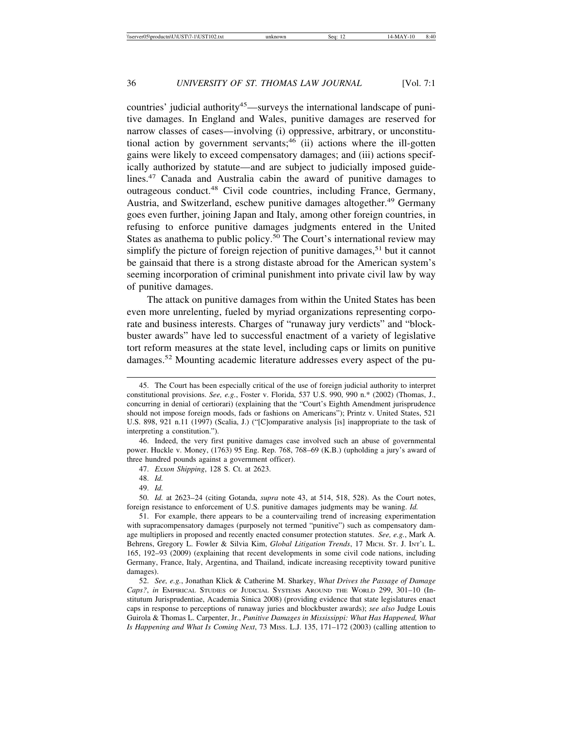countries' judicial authority<sup>45</sup>—surveys the international landscape of punitive damages. In England and Wales, punitive damages are reserved for narrow classes of cases—involving (i) oppressive, arbitrary, or unconstitutional action by government servants;<sup>46</sup> (ii) actions where the ill-gotten gains were likely to exceed compensatory damages; and (iii) actions specifically authorized by statute—and are subject to judicially imposed guidelines.47 Canada and Australia cabin the award of punitive damages to outrageous conduct.<sup>48</sup> Civil code countries, including France, Germany, Austria, and Switzerland, eschew punitive damages altogether.<sup>49</sup> Germany goes even further, joining Japan and Italy, among other foreign countries, in refusing to enforce punitive damages judgments entered in the United States as anathema to public policy.<sup>50</sup> The Court's international review may simplify the picture of foreign rejection of punitive damages,  $51$  but it cannot be gainsaid that there is a strong distaste abroad for the American system's seeming incorporation of criminal punishment into private civil law by way of punitive damages.

The attack on punitive damages from within the United States has been even more unrelenting, fueled by myriad organizations representing corporate and business interests. Charges of "runaway jury verdicts" and "blockbuster awards" have led to successful enactment of a variety of legislative tort reform measures at the state level, including caps or limits on punitive damages.<sup>52</sup> Mounting academic literature addresses every aspect of the pu-

46. Indeed, the very first punitive damages case involved such an abuse of governmental power. Huckle v. Money, (1763) 95 Eng. Rep. 768, 768–69 (K.B.) (upholding a jury's award of three hundred pounds against a government officer).

47. *Exxon Shipping*, 128 S. Ct. at 2623.

48. *Id.*

49. *Id.*

50. *Id.* at 2623–24 (citing Gotanda, *supra* note 43, at 514, 518, 528). As the Court notes, foreign resistance to enforcement of U.S. punitive damages judgments may be waning. *Id.*

<sup>45.</sup> The Court has been especially critical of the use of foreign judicial authority to interpret constitutional provisions. *See, e.g.*, Foster v. Florida, 537 U.S. 990, 990 n.\* (2002) (Thomas, J., concurring in denial of certiorari) (explaining that the "Court's Eighth Amendment jurisprudence should not impose foreign moods, fads or fashions on Americans"); Printz v. United States, 521 U.S. 898, 921 n.11 (1997) (Scalia, J.) ("[C]omparative analysis [is] inappropriate to the task of interpreting a constitution.").

<sup>51.</sup> For example, there appears to be a countervailing trend of increasing experimentation with supracompensatory damages (purposely not termed "punitive") such as compensatory damage multipliers in proposed and recently enacted consumer protection statutes. *See, e.g.*, Mark A. Behrens, Gregory L. Fowler & Silvia Kim, *Global Litigation Trends*, 17 MICH. ST. J. INT'L L. 165, 192–93 (2009) (explaining that recent developments in some civil code nations, including Germany, France, Italy, Argentina, and Thailand, indicate increasing receptivity toward punitive damages).

<sup>52.</sup> *See, e.g.*, Jonathan Klick & Catherine M. Sharkey, *What Drives the Passage of Damage Caps?*, *in* EMPIRICAL STUDIES OF JUDICIAL SYSTEMS AROUND THE WORLD 299, 301–10 (Institutum Jurisprudentiae, Academia Sinica 2008) (providing evidence that state legislatures enact caps in response to perceptions of runaway juries and blockbuster awards); *see also* Judge Louis Guirola & Thomas L. Carpenter, Jr., *Punitive Damages in Mississippi: What Has Happened, What Is Happening and What Is Coming Next*, 73 MISS. L.J. 135, 171–172 (2003) (calling attention to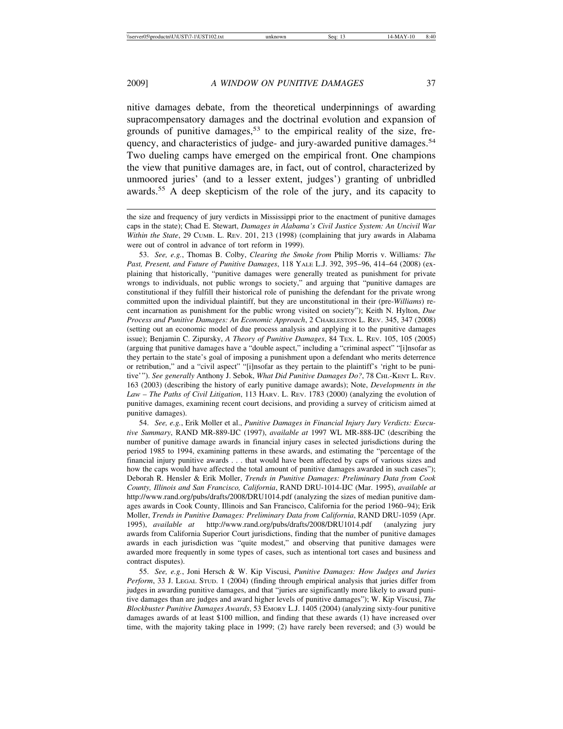nitive damages debate, from the theoretical underpinnings of awarding supracompensatory damages and the doctrinal evolution and expansion of grounds of punitive damages,<sup>53</sup> to the empirical reality of the size, frequency, and characteristics of judge- and jury-awarded punitive damages.<sup>54</sup> Two dueling camps have emerged on the empirical front. One champions the view that punitive damages are, in fact, out of control, characterized by unmoored juries' (and to a lesser extent, judges') granting of unbridled awards.55 A deep skepticism of the role of the jury, and its capacity to

the size and frequency of jury verdicts in Mississippi prior to the enactment of punitive damages caps in the state); Chad E. Stewart, *Damages in Alabama's Civil Justice System: An Uncivil War Within the State*, 29 CUMB. L. REV. 201, 213 (1998) (complaining that jury awards in Alabama were out of control in advance of tort reform in 1999).

53. *See, e.g.*, Thomas B. Colby, *Clearing the Smoke from* Philip Morris v. Williams*: The Past, Present, and Future of Punitive Damages*, 118 YALE L.J. 392, 395–96, 414–64 (2008) (explaining that historically, "punitive damages were generally treated as punishment for private wrongs to individuals, not public wrongs to society," and arguing that "punitive damages are constitutional if they fulfill their historical role of punishing the defendant for the private wrong committed upon the individual plaintiff, but they are unconstitutional in their (pre-*Williams*) recent incarnation as punishment for the public wrong visited on society"); Keith N. Hylton, *Due Process and Punitive Damages: An Economic Approach*, 2 CHARLESTON L. REV. 345, 347 (2008) (setting out an economic model of due process analysis and applying it to the punitive damages issue); Benjamin C. Zipursky, *A Theory of Punitive Damages*, 84 TEX. L. REV. 105, 105 (2005) (arguing that punitive damages have a "double aspect," including a "criminal aspect" "[i]nsofar as they pertain to the state's goal of imposing a punishment upon a defendant who merits deterrence or retribution," and a "civil aspect" "[i]nsofar as they pertain to the plaintiff's 'right to be punitive'"). *See generally* Anthony J. Sebok, *What Did Punitive Damages Do?*, 78 CHI.-KENT L. REV. 163 (2003) (describing the history of early punitive damage awards); Note, *Developments in the Law – The Paths of Civil Litigation*, 113 HARV. L. REV. 1783 (2000) (analyzing the evolution of punitive damages, examining recent court decisions, and providing a survey of criticism aimed at punitive damages).

54. *See, e.g.*, Erik Moller et al., *Punitive Damages in Financial Injury Jury Verdicts: Executive Summary*, RAND MR-889-IJC (1997), *available at* 1997 WL MR-888-IJC (describing the number of punitive damage awards in financial injury cases in selected jurisdictions during the period 1985 to 1994, examining patterns in these awards, and estimating the "percentage of the financial injury punitive awards . . . that would have been affected by caps of various sizes and how the caps would have affected the total amount of punitive damages awarded in such cases"); Deborah R. Hensler & Erik Moller, *Trends in Punitive Damages: Preliminary Data from Cook County, Illinois and San Francisco, California*, RAND DRU-1014-IJC (Mar. 1995), *available at* http://www.rand.org/pubs/drafts/2008/DRU1014.pdf (analyzing the sizes of median punitive damages awards in Cook County, Illinois and San Francisco, California for the period 1960–94); Erik Moller, *Trends in Punitive Damages: Preliminary Data from California*, RAND DRU-1059 (Apr. 1995), *available at* http://www.rand.org/pubs/drafts/2008/DRU1014.pdf (analyzing jury awards from California Superior Court jurisdictions, finding that the number of punitive damages awards in each jurisdiction was "quite modest," and observing that punitive damages were awarded more frequently in some types of cases, such as intentional tort cases and business and contract disputes).

55. *See, e.g.*, Joni Hersch & W. Kip Viscusi, *Punitive Damages: How Judges and Juries Perform*, 33 J. LEGAL STUD. 1 (2004) (finding through empirical analysis that juries differ from judges in awarding punitive damages, and that "juries are significantly more likely to award punitive damages than are judges and award higher levels of punitive damages"); W. Kip Viscusi, *The Blockbuster Punitive Damages Awards*, 53 EMORY L.J. 1405 (2004) (analyzing sixty-four punitive damages awards of at least \$100 million, and finding that these awards (1) have increased over time, with the majority taking place in 1999; (2) have rarely been reversed; and (3) would be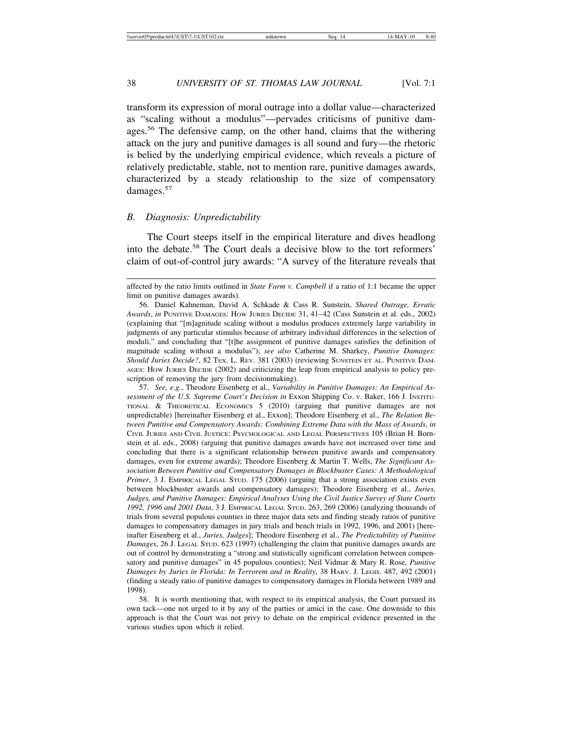transform its expression of moral outrage into a dollar value—characterized as "scaling without a modulus"—pervades criticisms of punitive damages.<sup>56</sup> The defensive camp, on the other hand, claims that the withering attack on the jury and punitive damages is all sound and fury—the rhetoric is belied by the underlying empirical evidence, which reveals a picture of relatively predictable, stable, not to mention rare, punitive damages awards, characterized by a steady relationship to the size of compensatory damages.<sup>57</sup>

#### *B. Diagnosis: Unpredictability*

The Court steeps itself in the empirical literature and dives headlong into the debate.58 The Court deals a decisive blow to the tort reformers' claim of out-of-control jury awards: "A survey of the literature reveals that

57. *See, e.g.*, Theodore Eisenberg et al., *Variability in Punitive Damages: An Empirical Assessment of the U.S. Supreme Court's Decision in* Exxon Shipping Co. v. Baker, 166 J. INSTITU-TIONAL & THEORETICAL ECONOMICS 5 (2010) (arguing that punitive damages are not unpredictable) [hereinafter Eisenberg et al., Exxon]; Theodore Eisenberg et al., *The Relation Between Punitive and Compensatory Awards: Combining Extreme Data with the Mass of Awards*, *in* CIVIL JURIES AND CIVIL JUSTICE: PSYCHOLOGICAL AND LEGAL PERSPECTIVES 105 (Brian H. Bornstein et al. eds., 2008) (arguing that punitive damages awards have not increased over time and concluding that there is a significant relationship between punitive awards and compensatory damages, even for extreme awards); Theodore Eisenberg & Martin T. Wells, *The Significant Association Between Punitive and Compensatory Damages in Blockbuster Cases: A Methodological Primer*, 3 J. EMPIRICAL LEGAL STUD. 175 (2006) (arguing that a strong association exists even between blockbuster awards and compensatory damages); Theodore Eisenberg et al., *Juries, Judges, and Punitive Damages: Empirical Analyses Using the Civil Justice Survey of State Courts 1992, 1996 and 2001 Data*, 3 J. EMPIRICAL LEGAL STUD. 263, 269 (2006) (analyzing thousands of trials from several populous counties in three major data sets and finding steady ratios of punitive damages to compensatory damages in jury trials and bench trials in 1992, 1996, and 2001) [hereinafter Eisenberg et al., *Juries, Judges*]; Theodore Eisenberg et al., *The Predictability of Punitive Damages*, 26 J. LEGAL STUD. 623 (1997) (challenging the claim that punitive damages awards are out of control by demonstrating a "strong and statistically significant correlation between compensatory and punitive damages" in 45 populous counties); Neil Vidmar & Mary R. Rose, *Punitive Damages by Juries in Florida: In Terrorem and in Reality*, 38 HARV. J. LEGIS. 487, 492 (2001) (finding a steady ratio of punitive damages to compensatory damages in Florida between 1989 and 1998).

58. It is worth mentioning that, with respect to its empirical analysis, the Court pursued its own tack—one not urged to it by any of the parties or amici in the case. One downside to this approach is that the Court was not privy to debate on the empirical evidence presented in the various studies upon which it relied.

affected by the ratio limits outlined in *State Farm v. Campbell* if a ratio of 1:1 became the upper limit on punitive damages awards).

<sup>56.</sup> Daniel Kahneman, David A. Schkade & Cass R. Sunstein, *Shared Outrage, Erratic Awards*, *in* PUNITIVE DAMAGES: HOW JURIES DECIDE 31, 41–42 (Cass Sunstein et al. eds., 2002) (explaining that "[m]agnitude scaling without a modulus produces extremely large variability in judgments of any particular stimulus because of arbitrary individual differences in the selection of moduli," and concluding that "[t]he assignment of punitive damages satisfies the definition of magnitude scaling without a modulus"); *see also* Catherine M. Sharkey, *Punitive Damages: Should Juries Decide?*, 82 TEX. L. REV. 381 (2003) (reviewing SUNSTEIN ET AL. PUNITIVE DAM-AGES: HOW JURIES DECIDE (2002) and criticizing the leap from empirical analysis to policy prescription of removing the jury from decisionmaking).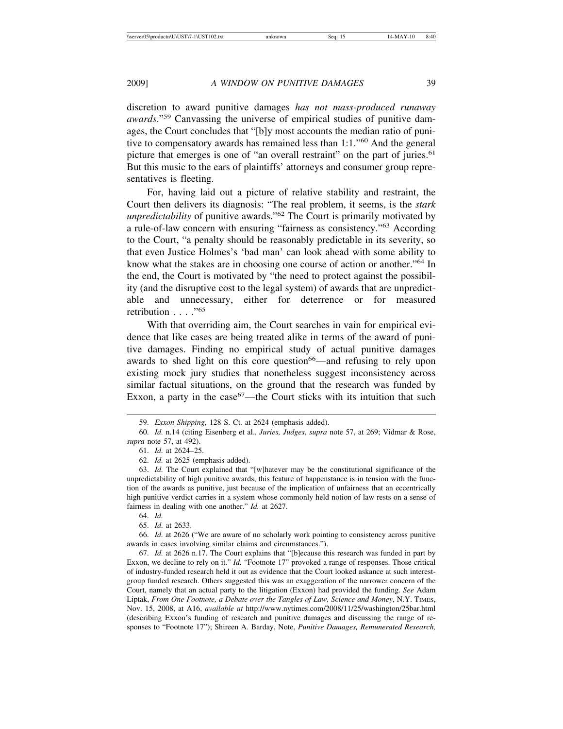discretion to award punitive damages *has not mass-produced runaway awards*."59 Canvassing the universe of empirical studies of punitive damages, the Court concludes that "[b]y most accounts the median ratio of punitive to compensatory awards has remained less than  $1:1.^{60}$  And the general picture that emerges is one of "an overall restraint" on the part of juries.<sup>61</sup> But this music to the ears of plaintiffs' attorneys and consumer group representatives is fleeting.

For, having laid out a picture of relative stability and restraint, the Court then delivers its diagnosis: "The real problem, it seems, is the *stark unpredictability* of punitive awards."62 The Court is primarily motivated by a rule-of-law concern with ensuring "fairness as consistency."63 According to the Court, "a penalty should be reasonably predictable in its severity, so that even Justice Holmes's 'bad man' can look ahead with some ability to know what the stakes are in choosing one course of action or another."<sup>64</sup> In the end, the Court is motivated by "the need to protect against the possibility (and the disruptive cost to the legal system) of awards that are unpredictable and unnecessary, either for deterrence or for measured retribution . . . . "<sup>65</sup>

With that overriding aim, the Court searches in vain for empirical evidence that like cases are being treated alike in terms of the award of punitive damages. Finding no empirical study of actual punitive damages awards to shed light on this core question<sup>66</sup>—and refusing to rely upon existing mock jury studies that nonetheless suggest inconsistency across similar factual situations, on the ground that the research was funded by Exxon, a party in the  $case^{67}$ —the Court sticks with its intuition that such

60. *Id.* n.14 (citing Eisenberg et al., *Juries, Judges*, *supra* note 57, at 269; Vidmar & Rose, *supra* note 57, at 492).

61. *Id.* at 2624–25.

62. *Id.* at 2625 (emphasis added).

63. *Id.* The Court explained that "[w]hatever may be the constitutional significance of the unpredictability of high punitive awards, this feature of happenstance is in tension with the function of the awards as punitive, just because of the implication of unfairness that an eccentrically high punitive verdict carries in a system whose commonly held notion of law rests on a sense of fairness in dealing with one another." *Id.* at 2627.

64. *Id.*

65. *Id.* at 2633.

66. *Id.* at 2626 ("We are aware of no scholarly work pointing to consistency across punitive awards in cases involving similar claims and circumstances.").

67. *Id.* at 2626 n.17. The Court explains that "[b]ecause this research was funded in part by Exxon, we decline to rely on it." *Id.* "Footnote 17" provoked a range of responses. Those critical of industry-funded research held it out as evidence that the Court looked askance at such interestgroup funded research. Others suggested this was an exaggeration of the narrower concern of the Court, namely that an actual party to the litigation (Exxon) had provided the funding. *See* Adam Liptak, *From One Footnote, a Debate over the Tangles of Law, Science and Money*, N.Y. TIMES, Nov. 15, 2008, at A16, *available at* http://www.nytimes.com/2008/11/25/washington/25bar.html (describing Exxon's funding of research and punitive damages and discussing the range of responses to "Footnote 17"); Shireen A. Barday, Note, *Punitive Damages, Remunerated Research,*

<sup>59.</sup> *Exxon Shipping*, 128 S. Ct. at 2624 (emphasis added).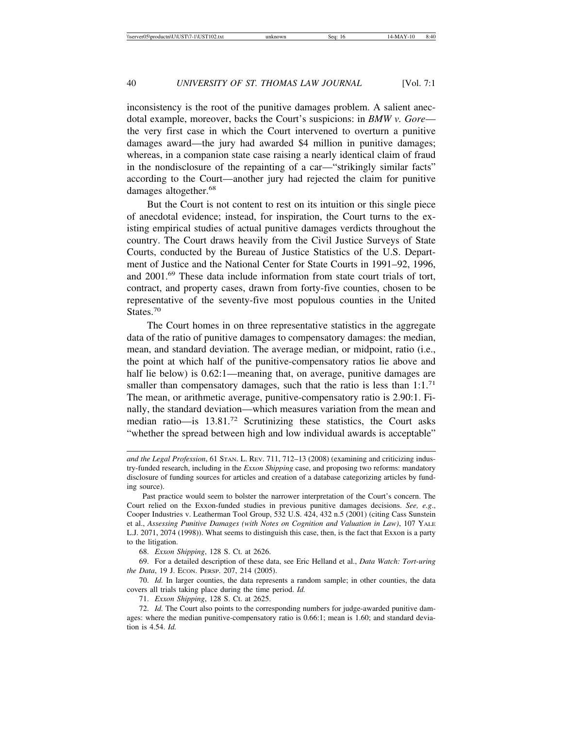inconsistency is the root of the punitive damages problem. A salient anecdotal example, moreover, backs the Court's suspicions: in *BMW v. Gore* the very first case in which the Court intervened to overturn a punitive damages award—the jury had awarded \$4 million in punitive damages; whereas, in a companion state case raising a nearly identical claim of fraud in the nondisclosure of the repainting of a car—"strikingly similar facts" according to the Court—another jury had rejected the claim for punitive damages altogether.<sup>68</sup>

But the Court is not content to rest on its intuition or this single piece of anecdotal evidence; instead, for inspiration, the Court turns to the existing empirical studies of actual punitive damages verdicts throughout the country. The Court draws heavily from the Civil Justice Surveys of State Courts, conducted by the Bureau of Justice Statistics of the U.S. Department of Justice and the National Center for State Courts in 1991–92, 1996, and 2001.<sup>69</sup> These data include information from state court trials of tort, contract, and property cases, drawn from forty-five counties, chosen to be representative of the seventy-five most populous counties in the United States.<sup>70</sup>

The Court homes in on three representative statistics in the aggregate data of the ratio of punitive damages to compensatory damages: the median, mean, and standard deviation. The average median, or midpoint, ratio (i.e., the point at which half of the punitive-compensatory ratios lie above and half lie below) is 0.62:1—meaning that, on average, punitive damages are smaller than compensatory damages, such that the ratio is less than  $1:1.^{71}$ The mean, or arithmetic average, punitive-compensatory ratio is 2.90:1. Finally, the standard deviation—which measures variation from the mean and median ratio—is  $13.81<sup>72</sup>$  Scrutinizing these statistics, the Court asks "whether the spread between high and low individual awards is acceptable"

68. *Exxon Shipping*, 128 S. Ct. at 2626.

69. For a detailed description of these data, see Eric Helland et al., *Data Watch: Tort-uring the Data*, 19 J. ECON. PERSP. 207, 214 (2005).

70. *Id.* In larger counties, the data represents a random sample; in other counties, the data covers all trials taking place during the time period. *Id.*

71. *Exxon Shipping*, 128 S. Ct. at 2625.

72. *Id.* The Court also points to the corresponding numbers for judge-awarded punitive damages: where the median punitive-compensatory ratio is 0.66:1; mean is 1.60; and standard deviation is 4.54. *Id.*

*and the Legal Profession*, 61 STAN. L. REV. 711, 712–13 (2008) (examining and criticizing industry-funded research, including in the *Exxon Shipping* case, and proposing two reforms: mandatory disclosure of funding sources for articles and creation of a database categorizing articles by funding source).

Past practice would seem to bolster the narrower interpretation of the Court's concern. The Court relied on the Exxon-funded studies in previous punitive damages decisions. *See, e.g*., Cooper Industries v. Leatherman Tool Group, 532 U.S. 424, 432 n.5 (2001) (citing Cass Sunstein et al., *Assessing Punitive Damages (with Notes on Cognition and Valuation in Law)*, 107 YALE L.J. 2071, 2074 (1998)). What seems to distinguish this case, then, is the fact that Exxon is a party to the litigation.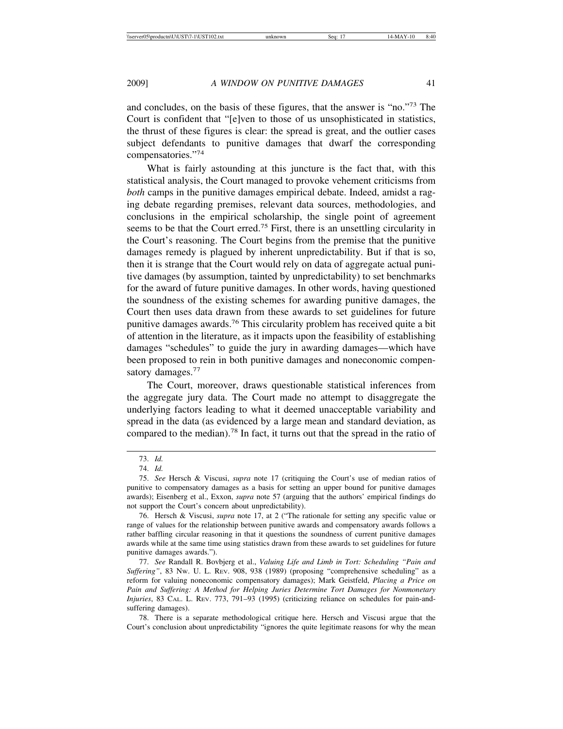and concludes, on the basis of these figures, that the answer is "no."73 The Court is confident that "[e]ven to those of us unsophisticated in statistics, the thrust of these figures is clear: the spread is great, and the outlier cases subject defendants to punitive damages that dwarf the corresponding compensatories."74

What is fairly astounding at this juncture is the fact that, with this statistical analysis, the Court managed to provoke vehement criticisms from *both* camps in the punitive damages empirical debate. Indeed, amidst a raging debate regarding premises, relevant data sources, methodologies, and conclusions in the empirical scholarship, the single point of agreement seems to be that the Court erred.<sup>75</sup> First, there is an unsettling circularity in the Court's reasoning. The Court begins from the premise that the punitive damages remedy is plagued by inherent unpredictability. But if that is so, then it is strange that the Court would rely on data of aggregate actual punitive damages (by assumption, tainted by unpredictability) to set benchmarks for the award of future punitive damages. In other words, having questioned the soundness of the existing schemes for awarding punitive damages, the Court then uses data drawn from these awards to set guidelines for future punitive damages awards.<sup>76</sup> This circularity problem has received quite a bit of attention in the literature, as it impacts upon the feasibility of establishing damages "schedules" to guide the jury in awarding damages—which have been proposed to rein in both punitive damages and noneconomic compensatory damages.<sup>77</sup>

The Court, moreover, draws questionable statistical inferences from the aggregate jury data. The Court made no attempt to disaggregate the underlying factors leading to what it deemed unacceptable variability and spread in the data (as evidenced by a large mean and standard deviation, as compared to the median).<sup>78</sup> In fact, it turns out that the spread in the ratio of

<sup>73.</sup> *Id.*

<sup>74.</sup> *Id.*

<sup>75.</sup> *See* Hersch & Viscusi, *supra* note 17 (critiquing the Court's use of median ratios of punitive to compensatory damages as a basis for setting an upper bound for punitive damages awards); Eisenberg et al., Exxon, *supra* note 57 (arguing that the authors' empirical findings do not support the Court's concern about unpredictability).

<sup>76.</sup> Hersch & Viscusi, *supra* note 17, at 2 ("The rationale for setting any specific value or range of values for the relationship between punitive awards and compensatory awards follows a rather baffling circular reasoning in that it questions the soundness of current punitive damages awards while at the same time using statistics drawn from these awards to set guidelines for future punitive damages awards.").

<sup>77.</sup> *See* Randall R. Bovbjerg et al., *Valuing Life and Limb in Tort: Scheduling "Pain and Suffering"*, 83 NW. U. L. REV. 908, 938 (1989) (proposing "comprehensive scheduling" as a reform for valuing noneconomic compensatory damages); Mark Geistfeld, *Placing a Price on Pain and Suffering: A Method for Helping Juries Determine Tort Damages for Nonmonetary Injuries*, 83 CAL. L. REV. 773, 791–93 (1995) (criticizing reliance on schedules for pain-andsuffering damages).

<sup>78.</sup> There is a separate methodological critique here. Hersch and Viscusi argue that the Court's conclusion about unpredictability "ignores the quite legitimate reasons for why the mean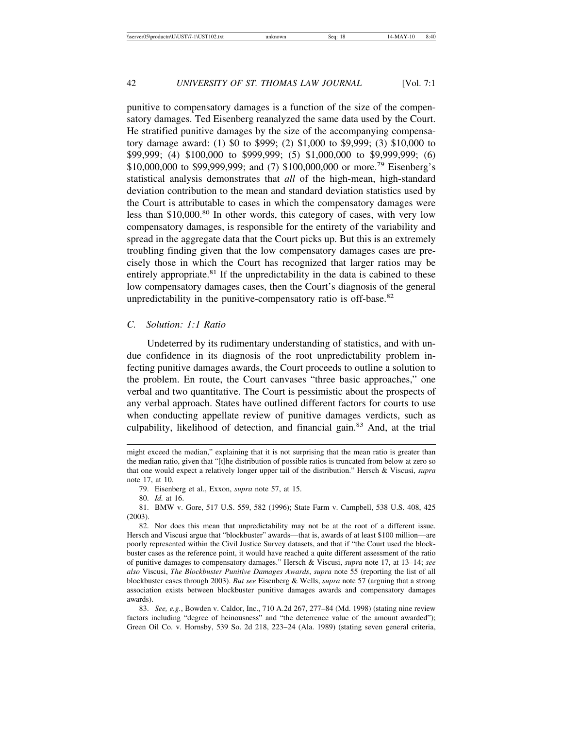punitive to compensatory damages is a function of the size of the compensatory damages. Ted Eisenberg reanalyzed the same data used by the Court. He stratified punitive damages by the size of the accompanying compensatory damage award: (1) \$0 to \$999; (2) \$1,000 to \$9,999; (3) \$10,000 to \$99,999; (4) \$100,000 to \$999,999; (5) \$1,000,000 to \$9,999,999; (6) \$10,000,000 to \$99,999,999; and (7) \$100,000,000 or more.<sup>79</sup> Eisenberg's statistical analysis demonstrates that *all* of the high-mean, high-standard deviation contribution to the mean and standard deviation statistics used by the Court is attributable to cases in which the compensatory damages were less than \$10,000.80 In other words, this category of cases, with very low compensatory damages, is responsible for the entirety of the variability and spread in the aggregate data that the Court picks up. But this is an extremely troubling finding given that the low compensatory damages cases are precisely those in which the Court has recognized that larger ratios may be entirely appropriate.<sup>81</sup> If the unpredictability in the data is cabined to these low compensatory damages cases, then the Court's diagnosis of the general unpredictability in the punitive-compensatory ratio is off-base. $82$ 

#### *C. Solution: 1:1 Ratio*

Undeterred by its rudimentary understanding of statistics, and with undue confidence in its diagnosis of the root unpredictability problem infecting punitive damages awards, the Court proceeds to outline a solution to the problem. En route, the Court canvases "three basic approaches," one verbal and two quantitative. The Court is pessimistic about the prospects of any verbal approach. States have outlined different factors for courts to use when conducting appellate review of punitive damages verdicts, such as culpability, likelihood of detection, and financial gain.83 And, at the trial

might exceed the median," explaining that it is not surprising that the mean ratio is greater than the median ratio, given that "[t]he distribution of possible ratios is truncated from below at zero so that one would expect a relatively longer upper tail of the distribution." Hersch & Viscusi, *supra* note 17, at 10.

<sup>79.</sup> Eisenberg et al., Exxon, *supra* note 57, at 15.

<sup>80.</sup> *Id.* at 16.

<sup>81.</sup> BMW v. Gore, 517 U.S. 559, 582 (1996); State Farm v. Campbell, 538 U.S. 408, 425 (2003).

<sup>82.</sup> Nor does this mean that unpredictability may not be at the root of a different issue. Hersch and Viscusi argue that "blockbuster" awards—that is, awards of at least \$100 million—are poorly represented within the Civil Justice Survey datasets, and that if "the Court used the blockbuster cases as the reference point, it would have reached a quite different assessment of the ratio of punitive damages to compensatory damages." Hersch & Viscusi, *supra* note 17, at 13–14; *see also* Viscusi, *The Blockbuster Punitive Damages Awards*, *supra* note 55 (reporting the list of all blockbuster cases through 2003). *But see* Eisenberg & Wells, *supra* note 57 (arguing that a strong association exists between blockbuster punitive damages awards and compensatory damages awards).

<sup>83.</sup> *See, e.g.*, Bowden v. Caldor, Inc., 710 A.2d 267, 277–84 (Md. 1998) (stating nine review factors including "degree of heinousness" and "the deterrence value of the amount awarded"); Green Oil Co. v. Hornsby, 539 So. 2d 218, 223–24 (Ala. 1989) (stating seven general criteria,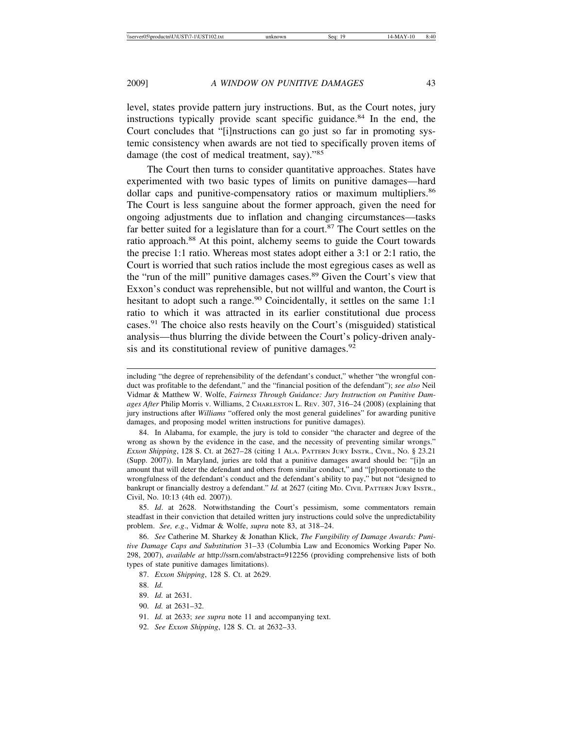level, states provide pattern jury instructions. But, as the Court notes, jury instructions typically provide scant specific guidance.84 In the end, the Court concludes that "[i]nstructions can go just so far in promoting systemic consistency when awards are not tied to specifically proven items of damage (the cost of medical treatment, say)."<sup>85</sup>

The Court then turns to consider quantitative approaches. States have experimented with two basic types of limits on punitive damages—hard dollar caps and punitive-compensatory ratios or maximum multipliers.<sup>86</sup> The Court is less sanguine about the former approach, given the need for ongoing adjustments due to inflation and changing circumstances—tasks far better suited for a legislature than for a court.<sup>87</sup> The Court settles on the ratio approach.<sup>88</sup> At this point, alchemy seems to guide the Court towards the precise 1:1 ratio. Whereas most states adopt either a 3:1 or 2:1 ratio, the Court is worried that such ratios include the most egregious cases as well as the "run of the mill" punitive damages cases.<sup>89</sup> Given the Court's view that Exxon's conduct was reprehensible, but not willful and wanton, the Court is hesitant to adopt such a range.<sup>90</sup> Coincidentally, it settles on the same 1:1 ratio to which it was attracted in its earlier constitutional due process cases.91 The choice also rests heavily on the Court's (misguided) statistical analysis—thus blurring the divide between the Court's policy-driven analysis and its constitutional review of punitive damages.<sup>92</sup>

84. In Alabama, for example, the jury is told to consider "the character and degree of the wrong as shown by the evidence in the case, and the necessity of preventing similar wrongs." *Exxon Shipping*, 128 S. Ct. at 2627–28 (citing 1 ALA. PATTERN JURY INSTR., CIVIL, NO. § 23.21 (Supp. 2007)). In Maryland, juries are told that a punitive damages award should be: "[i]n an amount that will deter the defendant and others from similar conduct," and "[p]roportionate to the wrongfulness of the defendant's conduct and the defendant's ability to pay," but not "designed to bankrupt or financially destroy a defendant." *Id.* at 2627 (citing MD. CIVIL PATTERN JURY INSTR., Civil, No. 10:13 (4th ed. 2007)).

85. *Id*. at 2628. Notwithstanding the Court's pessimism, some commentators remain steadfast in their conviction that detailed written jury instructions could solve the unpredictability problem. *See, e.g*., Vidmar & Wolfe, *supra* note 83, at 318–24.

86. *See* Catherine M. Sharkey & Jonathan Klick, *The Fungibility of Damage Awards: Punitive Damage Caps and Substitution* 31–33 (Columbia Law and Economics Working Paper No. 298, 2007), *available at* http://ssrn.com/abstract=912256 (providing comprehensive lists of both types of state punitive damages limitations).

87. *Exxon Shipping*, 128 S. Ct. at 2629.

88. *Id.*

89. *Id.* at 2631.

- 91. *Id.* at 2633; *see supra* note 11 and accompanying text.
- 92. *See Exxon Shipping*, 128 S. Ct. at 2632–33.

including "the degree of reprehensibility of the defendant's conduct," whether "the wrongful conduct was profitable to the defendant," and the "financial position of the defendant"); *see also* Neil Vidmar & Matthew W. Wolfe, *Fairness Through Guidance: Jury Instruction on Punitive Damages After* Philip Morris v. Williams, 2 CHARLESTON L. REV. 307, 316–24 (2008) (explaining that jury instructions after *Williams* "offered only the most general guidelines" for awarding punitive damages, and proposing model written instructions for punitive damages).

<sup>90.</sup> *Id.* at 2631–32.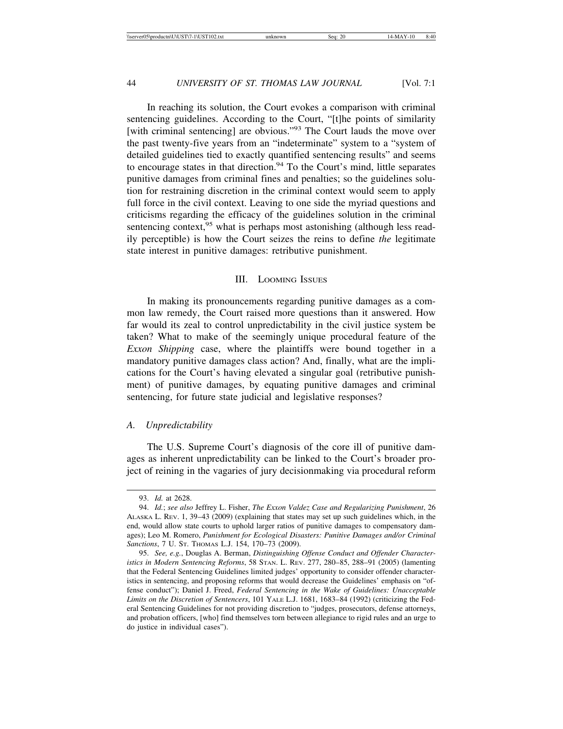In reaching its solution, the Court evokes a comparison with criminal sentencing guidelines. According to the Court, "[t]he points of similarity [with criminal sentencing] are obvious."<sup>93</sup> The Court lauds the move over the past twenty-five years from an "indeterminate" system to a "system of detailed guidelines tied to exactly quantified sentencing results" and seems to encourage states in that direction.<sup>94</sup> To the Court's mind, little separates punitive damages from criminal fines and penalties; so the guidelines solution for restraining discretion in the criminal context would seem to apply full force in the civil context. Leaving to one side the myriad questions and criticisms regarding the efficacy of the guidelines solution in the criminal sentencing context,  $95$  what is perhaps most astonishing (although less readily perceptible) is how the Court seizes the reins to define *the* legitimate state interest in punitive damages: retributive punishment.

#### III. LOOMING ISSUES

In making its pronouncements regarding punitive damages as a common law remedy, the Court raised more questions than it answered. How far would its zeal to control unpredictability in the civil justice system be taken? What to make of the seemingly unique procedural feature of the *Exxon Shipping* case, where the plaintiffs were bound together in a mandatory punitive damages class action? And, finally, what are the implications for the Court's having elevated a singular goal (retributive punishment) of punitive damages, by equating punitive damages and criminal sentencing, for future state judicial and legislative responses?

#### *A. Unpredictability*

The U.S. Supreme Court's diagnosis of the core ill of punitive damages as inherent unpredictability can be linked to the Court's broader project of reining in the vagaries of jury decisionmaking via procedural reform

<sup>93.</sup> *Id.* at 2628.

<sup>94.</sup> *Id.*; *see also* Jeffrey L. Fisher, *The Exxon Valdez Case and Regularizing Punishment*, 26 ALASKA L. REV. 1, 39–43 (2009) (explaining that states may set up such guidelines which, in the end, would allow state courts to uphold larger ratios of punitive damages to compensatory damages); Leo M. Romero, *Punishment for Ecological Disasters: Punitive Damages and/or Criminal Sanctions*, 7 U. ST. THOMAS L.J. 154, 170–73 (2009).

<sup>95.</sup> *See, e.g.*, Douglas A. Berman, *Distinguishing Offense Conduct and Offender Characteristics in Modern Sentencing Reforms*, 58 STAN. L. REV. 277, 280–85, 288–91 (2005) (lamenting that the Federal Sentencing Guidelines limited judges' opportunity to consider offender characteristics in sentencing, and proposing reforms that would decrease the Guidelines' emphasis on "offense conduct"); Daniel J. Freed, *Federal Sentencing in the Wake of Guidelines: Unacceptable Limits on the Discretion of Sentencers*, 101 YALE L.J. 1681, 1683–84 (1992) (criticizing the Federal Sentencing Guidelines for not providing discretion to "judges, prosecutors, defense attorneys, and probation officers, [who] find themselves torn between allegiance to rigid rules and an urge to do justice in individual cases").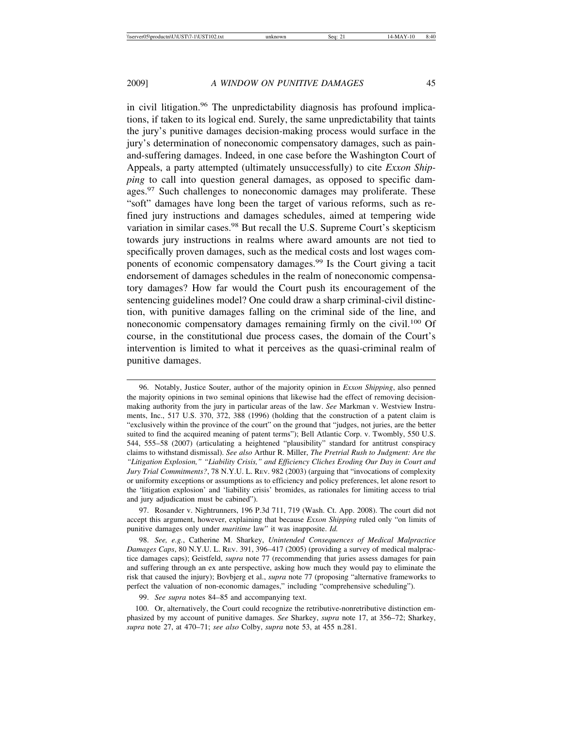in civil litigation.<sup>96</sup> The unpredictability diagnosis has profound implications, if taken to its logical end. Surely, the same unpredictability that taints the jury's punitive damages decision-making process would surface in the jury's determination of noneconomic compensatory damages, such as painand-suffering damages. Indeed, in one case before the Washington Court of Appeals, a party attempted (ultimately unsuccessfully) to cite *Exxon Shipping* to call into question general damages, as opposed to specific damages.<sup>97</sup> Such challenges to noneconomic damages may proliferate. These "soft" damages have long been the target of various reforms, such as refined jury instructions and damages schedules, aimed at tempering wide variation in similar cases.<sup>98</sup> But recall the U.S. Supreme Court's skepticism towards jury instructions in realms where award amounts are not tied to specifically proven damages, such as the medical costs and lost wages components of economic compensatory damages.<sup>99</sup> Is the Court giving a tacit endorsement of damages schedules in the realm of noneconomic compensatory damages? How far would the Court push its encouragement of the sentencing guidelines model? One could draw a sharp criminal-civil distinction, with punitive damages falling on the criminal side of the line, and noneconomic compensatory damages remaining firmly on the civil.<sup>100</sup> Of course, in the constitutional due process cases, the domain of the Court's intervention is limited to what it perceives as the quasi-criminal realm of punitive damages.

97. Rosander v. Nightrunners, 196 P.3d 711, 719 (Wash. Ct. App. 2008). The court did not accept this argument, however, explaining that because *Exxon Shipping* ruled only "on limits of punitive damages only under *maritime* law" it was inapposite. *Id.*

98. *See, e.g.*, Catherine M. Sharkey, *Unintended Consequences of Medical Malpractice Damages Caps*, 80 N.Y.U. L. REV. 391, 396–417 (2005) (providing a survey of medical malpractice damages caps); Geistfeld, *supra* note 77 (recommending that juries assess damages for pain and suffering through an ex ante perspective, asking how much they would pay to eliminate the risk that caused the injury); Bovbjerg et al., *supra* note 77 (proposing "alternative frameworks to perfect the valuation of non-economic damages," including "comprehensive scheduling").

99. *See supra* notes 84–85 and accompanying text.

100. Or, alternatively, the Court could recognize the retributive-nonretributive distinction emphasized by my account of punitive damages. *See* Sharkey, *supra* note 17, at 356–72; Sharkey, *supra* note 27, at 470–71; *see also* Colby, *supra* note 53, at 455 n.281.

<sup>96.</sup> Notably, Justice Souter, author of the majority opinion in *Exxon Shipping*, also penned the majority opinions in two seminal opinions that likewise had the effect of removing decisionmaking authority from the jury in particular areas of the law. *See* Markman v. Westview Instruments, Inc., 517 U.S. 370, 372, 388 (1996) (holding that the construction of a patent claim is "exclusively within the province of the court" on the ground that "judges, not juries, are the better suited to find the acquired meaning of patent terms"); Bell Atlantic Corp. v. Twombly, 550 U.S. 544, 555–58 (2007) (articulating a heightened "plausibility" standard for antitrust conspiracy claims to withstand dismissal). *See also* Arthur R. Miller, *The Pretrial Rush to Judgment: Are the "Litigation Explosion," "Liability Crisis," and Efficiency Cliches Eroding Our Day in Court and Jury Trial Commitments?*, 78 N.Y.U. L. REV. 982 (2003) (arguing that "invocations of complexity or uniformity exceptions or assumptions as to efficiency and policy preferences, let alone resort to the 'litigation explosion' and 'liability crisis' bromides, as rationales for limiting access to trial and jury adjudication must be cabined").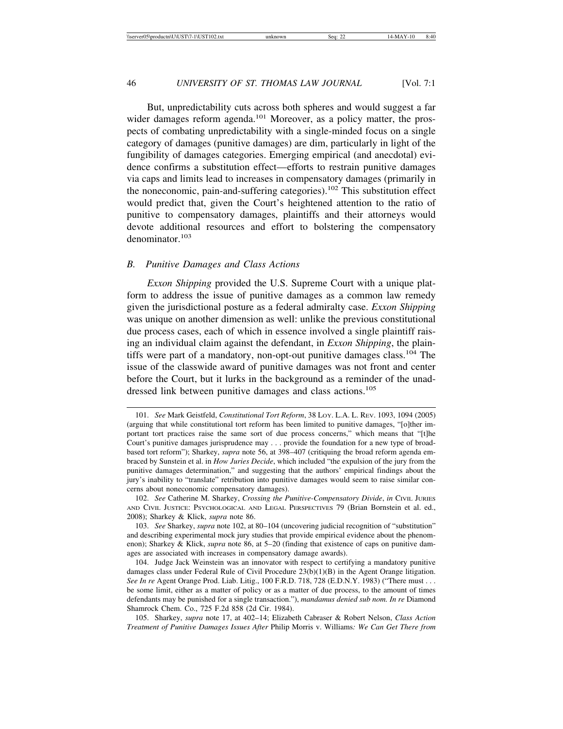But, unpredictability cuts across both spheres and would suggest a far wider damages reform agenda.<sup>101</sup> Moreover, as a policy matter, the prospects of combating unpredictability with a single-minded focus on a single category of damages (punitive damages) are dim, particularly in light of the fungibility of damages categories. Emerging empirical (and anecdotal) evidence confirms a substitution effect—efforts to restrain punitive damages via caps and limits lead to increases in compensatory damages (primarily in the noneconomic, pain-and-suffering categories).<sup>102</sup> This substitution effect would predict that, given the Court's heightened attention to the ratio of punitive to compensatory damages, plaintiffs and their attorneys would devote additional resources and effort to bolstering the compensatory denominator.<sup>103</sup>

#### *B. Punitive Damages and Class Actions*

*Exxon Shipping* provided the U.S. Supreme Court with a unique platform to address the issue of punitive damages as a common law remedy given the jurisdictional posture as a federal admiralty case. *Exxon Shipping* was unique on another dimension as well: unlike the previous constitutional due process cases, each of which in essence involved a single plaintiff raising an individual claim against the defendant, in *Exxon Shipping*, the plaintiffs were part of a mandatory, non-opt-out punitive damages class.<sup>104</sup> The issue of the classwide award of punitive damages was not front and center before the Court, but it lurks in the background as a reminder of the unaddressed link between punitive damages and class actions.<sup>105</sup>

<sup>101.</sup> *See* Mark Geistfeld, *Constitutional Tort Reform*, 38 LOY. L.A. L. REV. 1093, 1094 (2005) (arguing that while constitutional tort reform has been limited to punitive damages, "[o]ther important tort practices raise the same sort of due process concerns," which means that "[t]he Court's punitive damages jurisprudence may . . . provide the foundation for a new type of broadbased tort reform"); Sharkey, *supra* note 56, at 398–407 (critiquing the broad reform agenda embraced by Sunstein et al. in *How Juries Decide*, which included "the expulsion of the jury from the punitive damages determination," and suggesting that the authors' empirical findings about the jury's inability to "translate" retribution into punitive damages would seem to raise similar concerns about noneconomic compensatory damages).

<sup>102.</sup> *See* Catherine M. Sharkey, *Crossing the Punitive-Compensatory Divide*, *in* CIVIL JURIES AND CIVIL JUSTICE: PSYCHOLOGICAL AND LEGAL PERSPECTIVES 79 (Brian Bornstein et al. ed., 2008); Sharkey & Klick, *supra* note 86.

<sup>103.</sup> *See* Sharkey, *supra* note 102, at 80–104 (uncovering judicial recognition of "substitution" and describing experimental mock jury studies that provide empirical evidence about the phenomenon); Sharkey & Klick, *supra* note 86, at 5–20 (finding that existence of caps on punitive damages are associated with increases in compensatory damage awards).

<sup>104.</sup> Judge Jack Weinstein was an innovator with respect to certifying a mandatory punitive damages class under Federal Rule of Civil Procedure 23(b)(1)(B) in the Agent Orange litigation. *See In re* Agent Orange Prod. Liab. Litig., 100 F.R.D. 718, 728 (E.D.N.Y. 1983) ("There must . . . be some limit, either as a matter of policy or as a matter of due process, to the amount of times defendants may be punished for a single transaction."), *mandamus denied sub nom. In re* Diamond Shamrock Chem. Co., 725 F.2d 858 (2d Cir. 1984).

<sup>105.</sup> Sharkey, *supra* note 17, at 402–14; Elizabeth Cabraser & Robert Nelson, *Class Action Treatment of Punitive Damages Issues After* Philip Morris v. Williams*: We Can Get There from*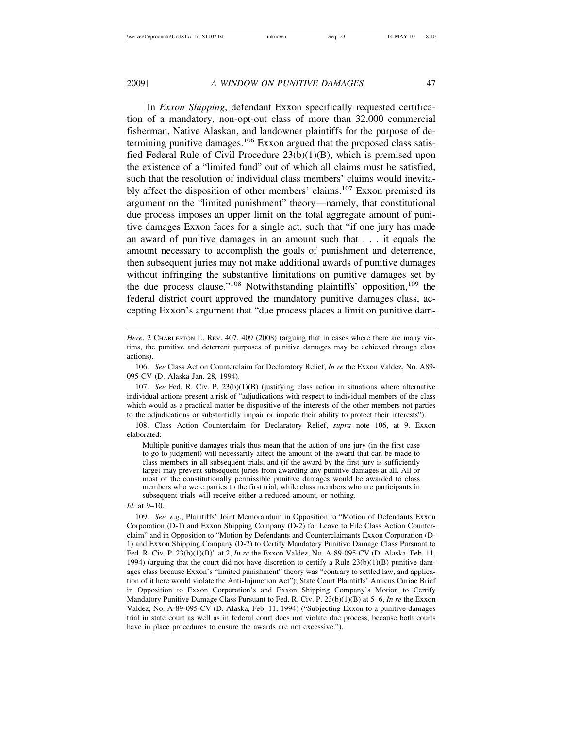In *Exxon Shipping*, defendant Exxon specifically requested certification of a mandatory, non-opt-out class of more than 32,000 commercial fisherman, Native Alaskan, and landowner plaintiffs for the purpose of determining punitive damages.<sup>106</sup> Exxon argued that the proposed class satisfied Federal Rule of Civil Procedure 23(b)(1)(B), which is premised upon the existence of a "limited fund" out of which all claims must be satisfied, such that the resolution of individual class members' claims would inevitably affect the disposition of other members' claims.<sup>107</sup> Exxon premised its argument on the "limited punishment" theory—namely, that constitutional due process imposes an upper limit on the total aggregate amount of punitive damages Exxon faces for a single act, such that "if one jury has made an award of punitive damages in an amount such that . . . it equals the amount necessary to accomplish the goals of punishment and deterrence, then subsequent juries may not make additional awards of punitive damages without infringing the substantive limitations on punitive damages set by the due process clause."<sup>108</sup> Notwithstanding plaintiffs' opposition,<sup>109</sup> the federal district court approved the mandatory punitive damages class, accepting Exxon's argument that "due process places a limit on punitive dam-

106. *See* Class Action Counterclaim for Declaratory Relief, *In re* the Exxon Valdez, No. A89- 095-CV (D. Alaska Jan. 28, 1994).

107. *See* Fed. R. Civ. P. 23(b)(1)(B) (justifying class action in situations where alternative individual actions present a risk of "adjudications with respect to individual members of the class which would as a practical matter be dispositive of the interests of the other members not parties to the adjudications or substantially impair or impede their ability to protect their interests").

108. Class Action Counterclaim for Declaratory Relief, *supra* note 106, at 9. Exxon elaborated:

Multiple punitive damages trials thus mean that the action of one jury (in the first case to go to judgment) will necessarily affect the amount of the award that can be made to class members in all subsequent trials, and (if the award by the first jury is sufficiently large) may prevent subsequent juries from awarding any punitive damages at all. All or most of the constitutionally permissible punitive damages would be awarded to class members who were parties to the first trial, while class members who are participants in subsequent trials will receive either a reduced amount, or nothing.

*Id.* at 9–10.

109. *See, e.g.*, Plaintiffs' Joint Memorandum in Opposition to "Motion of Defendants Exxon Corporation (D-1) and Exxon Shipping Company (D-2) for Leave to File Class Action Counterclaim" and in Opposition to "Motion by Defendants and Counterclaimants Exxon Corporation (D-1) and Exxon Shipping Company (D-2) to Certify Mandatory Punitive Damage Class Pursuant to Fed. R. Civ. P. 23(b)(1)(B)" at 2, *In re* the Exxon Valdez, No. A-89-095-CV (D. Alaska, Feb. 11, 1994) (arguing that the court did not have discretion to certify a Rule  $23(b)(1)(B)$  punitive damages class because Exxon's "limited punishment" theory was "contrary to settled law, and application of it here would violate the Anti-Injunction Act"); State Court Plaintiffs' Amicus Curiae Brief in Opposition to Exxon Corporation's and Exxon Shipping Company's Motion to Certify Mandatory Punitive Damage Class Pursuant to Fed. R. Civ. P. 23(b)(1)(B) at 5–6, *In re* the Exxon Valdez, No. A-89-095-CV (D. Alaska, Feb. 11, 1994) ("Subjecting Exxon to a punitive damages trial in state court as well as in federal court does not violate due process, because both courts have in place procedures to ensure the awards are not excessive.").

*Here*, 2 CHARLESTON L. REV. 407, 409 (2008) (arguing that in cases where there are many victims, the punitive and deterrent purposes of punitive damages may be achieved through class actions).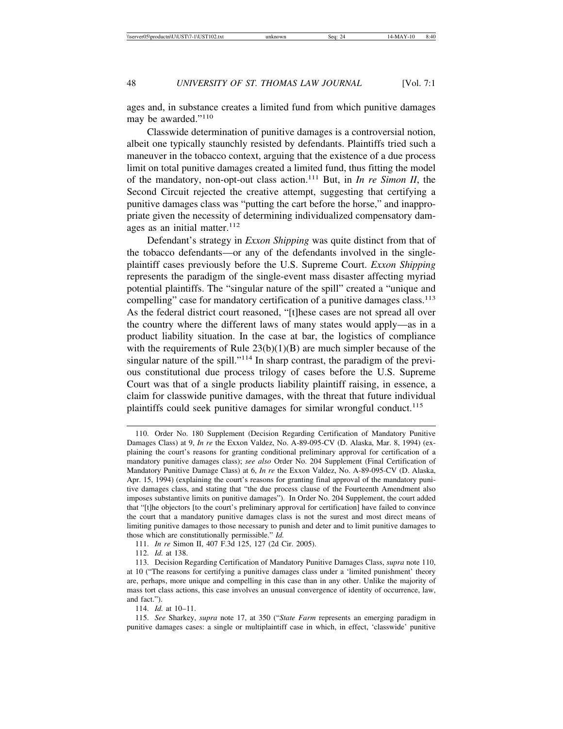ages and, in substance creates a limited fund from which punitive damages may be awarded."<sup>110</sup>

Classwide determination of punitive damages is a controversial notion, albeit one typically staunchly resisted by defendants. Plaintiffs tried such a maneuver in the tobacco context, arguing that the existence of a due process limit on total punitive damages created a limited fund, thus fitting the model of the mandatory, non-opt-out class action.111 But, in *In re Simon II*, the Second Circuit rejected the creative attempt, suggesting that certifying a punitive damages class was "putting the cart before the horse," and inappropriate given the necessity of determining individualized compensatory damages as an initial matter. $112$ 

Defendant's strategy in *Exxon Shipping* was quite distinct from that of the tobacco defendants—or any of the defendants involved in the singleplaintiff cases previously before the U.S. Supreme Court. *Exxon Shipping* represents the paradigm of the single-event mass disaster affecting myriad potential plaintiffs. The "singular nature of the spill" created a "unique and compelling" case for mandatory certification of a punitive damages class.<sup>113</sup> As the federal district court reasoned, "[t]hese cases are not spread all over the country where the different laws of many states would apply—as in a product liability situation. In the case at bar, the logistics of compliance with the requirements of Rule  $23(b)(1)(B)$  are much simpler because of the singular nature of the spill."<sup>114</sup> In sharp contrast, the paradigm of the previous constitutional due process trilogy of cases before the U.S. Supreme Court was that of a single products liability plaintiff raising, in essence, a claim for classwide punitive damages, with the threat that future individual plaintiffs could seek punitive damages for similar wrongful conduct.<sup>115</sup>

114. *Id.* at 10–11.

115. *See* Sharkey, *supra* note 17, at 350 ("*State Farm* represents an emerging paradigm in punitive damages cases: a single or multiplaintiff case in which, in effect, 'classwide' punitive

<sup>110.</sup> Order No. 180 Supplement (Decision Regarding Certification of Mandatory Punitive Damages Class) at 9, *In re* the Exxon Valdez, No. A-89-095-CV (D. Alaska, Mar. 8, 1994) (explaining the court's reasons for granting conditional preliminary approval for certification of a mandatory punitive damages class); *see also* Order No. 204 Supplement (Final Certification of Mandatory Punitive Damage Class) at 6, *In re* the Exxon Valdez, No. A-89-095-CV (D. Alaska, Apr. 15, 1994) (explaining the court's reasons for granting final approval of the mandatory punitive damages class, and stating that "the due process clause of the Fourteenth Amendment also imposes substantive limits on punitive damages"). In Order No. 204 Supplement, the court added that "[t]he objectors [to the court's preliminary approval for certification] have failed to convince the court that a mandatory punitive damages class is not the surest and most direct means of limiting punitive damages to those necessary to punish and deter and to limit punitive damages to those which are constitutionally permissible." *Id.*

<sup>111.</sup> *In re* Simon II, 407 F.3d 125, 127 (2d Cir. 2005).

<sup>112.</sup> *Id.* at 138.

<sup>113.</sup> Decision Regarding Certification of Mandatory Punitive Damages Class, *supra* note 110, at 10 ("The reasons for certifying a punitive damages class under a 'limited punishment' theory are, perhaps, more unique and compelling in this case than in any other. Unlike the majority of mass tort class actions, this case involves an unusual convergence of identity of occurrence, law, and fact.").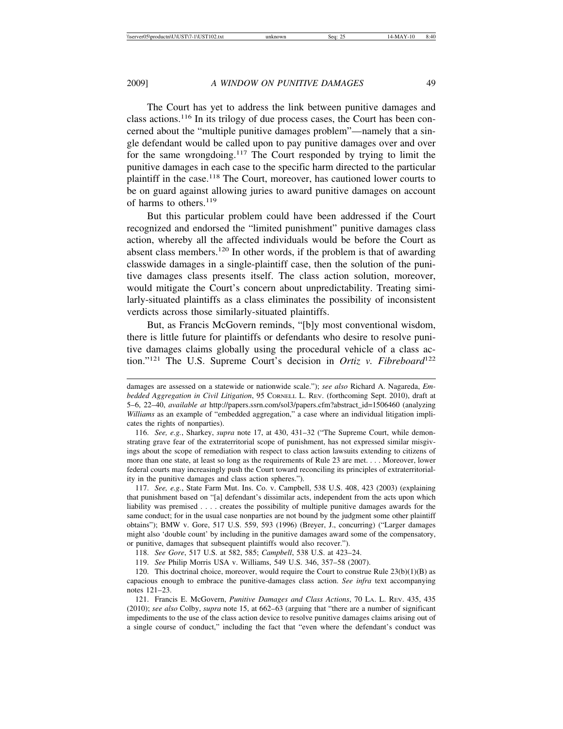The Court has yet to address the link between punitive damages and class actions.116 In its trilogy of due process cases, the Court has been concerned about the "multiple punitive damages problem"—namely that a single defendant would be called upon to pay punitive damages over and over for the same wrongdoing.117 The Court responded by trying to limit the punitive damages in each case to the specific harm directed to the particular plaintiff in the case.<sup>118</sup> The Court, moreover, has cautioned lower courts to be on guard against allowing juries to award punitive damages on account of harms to others.<sup>119</sup>

But this particular problem could have been addressed if the Court recognized and endorsed the "limited punishment" punitive damages class action, whereby all the affected individuals would be before the Court as absent class members.120 In other words, if the problem is that of awarding classwide damages in a single-plaintiff case, then the solution of the punitive damages class presents itself. The class action solution, moreover, would mitigate the Court's concern about unpredictability. Treating similarly-situated plaintiffs as a class eliminates the possibility of inconsistent verdicts across those similarly-situated plaintiffs.

But, as Francis McGovern reminds, "[b]y most conventional wisdom, there is little future for plaintiffs or defendants who desire to resolve punitive damages claims globally using the procedural vehicle of a class action."121 The U.S. Supreme Court's decision in *Ortiz v. Fibreboard*<sup>122</sup>

116. *See, e.g.*, Sharkey, *supra* note 17, at 430, 431–32 ("The Supreme Court, while demonstrating grave fear of the extraterritorial scope of punishment, has not expressed similar misgivings about the scope of remediation with respect to class action lawsuits extending to citizens of more than one state, at least so long as the requirements of Rule 23 are met. . . . Moreover, lower federal courts may increasingly push the Court toward reconciling its principles of extraterritoriality in the punitive damages and class action spheres.").

117. *See, e.g.*, State Farm Mut. Ins. Co. v. Campbell, 538 U.S. 408, 423 (2003) (explaining that punishment based on "[a] defendant's dissimilar acts, independent from the acts upon which liability was premised . . . . creates the possibility of multiple punitive damages awards for the same conduct; for in the usual case nonparties are not bound by the judgment some other plaintiff obtains"); BMW v. Gore, 517 U.S. 559, 593 (1996) (Breyer, J., concurring) ("Larger damages might also 'double count' by including in the punitive damages award some of the compensatory, or punitive, damages that subsequent plaintiffs would also recover.").

118. *See Gore*, 517 U.S. at 582, 585; *Campbell*, 538 U.S. at 423–24.

119. *See* Philip Morris USA v. Williams, 549 U.S. 346, 357–58 (2007).

120. This doctrinal choice, moreover, would require the Court to construe Rule 23(b)(1)(B) as capacious enough to embrace the punitive-damages class action. *See infra* text accompanying notes 121–23.

121. Francis E. McGovern, *Punitive Damages and Class Actions*, 70 LA. L. REV. 435, 435 (2010); *see also* Colby, *supra* note 15, at 662–63 (arguing that "there are a number of significant impediments to the use of the class action device to resolve punitive damages claims arising out of a single course of conduct," including the fact that "even where the defendant's conduct was

damages are assessed on a statewide or nationwide scale."); *see also* Richard A. Nagareda, *Embedded Aggregation in Civil Litigation*, 95 CORNELL L. REV. (forthcoming Sept. 2010), draft at 5–6, 22–40, *available at* http://papers.ssrn.com/sol3/papers.cfm?abstract\_id=1506460 (analyzing *Williams* as an example of "embedded aggregation," a case where an individual litigation implicates the rights of nonparties).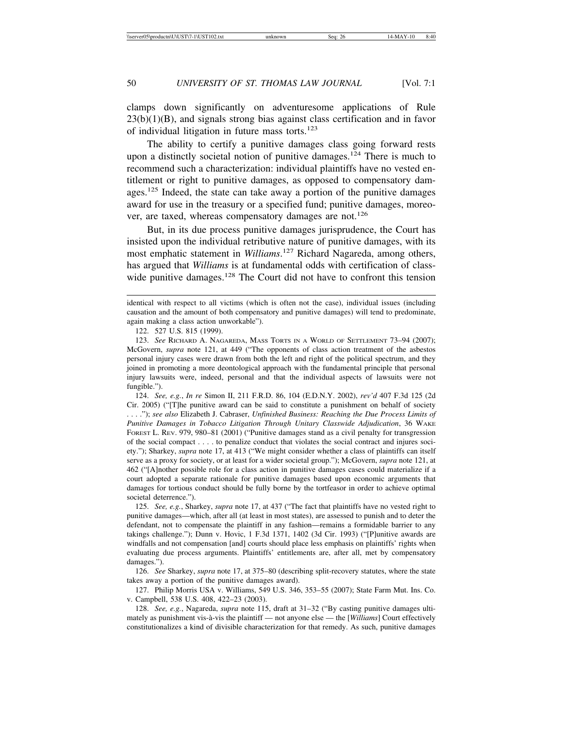clamps down significantly on adventuresome applications of Rule  $23(b)(1)(B)$ , and signals strong bias against class certification and in favor of individual litigation in future mass torts.<sup>123</sup>

The ability to certify a punitive damages class going forward rests upon a distinctly societal notion of punitive damages.<sup>124</sup> There is much to recommend such a characterization: individual plaintiffs have no vested entitlement or right to punitive damages, as opposed to compensatory damages.<sup>125</sup> Indeed, the state can take away a portion of the punitive damages award for use in the treasury or a specified fund; punitive damages, moreover, are taxed, whereas compensatory damages are not.<sup>126</sup>

But, in its due process punitive damages jurisprudence, the Court has insisted upon the individual retributive nature of punitive damages, with its most emphatic statement in *Williams*. 127 Richard Nagareda, among others, has argued that *Williams* is at fundamental odds with certification of classwide punitive damages.<sup>128</sup> The Court did not have to confront this tension

124. *See, e.g.*, *In re* Simon II, 211 F.R.D. 86, 104 (E.D.N.Y. 2002), *rev'd* 407 F.3d 125 (2d Cir. 2005) ("[T]he punitive award can be said to constitute a punishment on behalf of society . . . ."); *see also* Elizabeth J. Cabraser, *Unfinished Business: Reaching the Due Process Limits of Punitive Damages in Tobacco Litigation Through Unitary Classwide Adjudication*, 36 WAKE FOREST L. REV. 979, 980–81 (2001) ("Punitive damages stand as a civil penalty for transgression of the social compact . . . . to penalize conduct that violates the social contract and injures society."); Sharkey, *supra* note 17, at 413 ("We might consider whether a class of plaintiffs can itself serve as a proxy for society, or at least for a wider societal group."); McGovern, *supra* note 121, at 462 ("[A]nother possible role for a class action in punitive damages cases could materialize if a court adopted a separate rationale for punitive damages based upon economic arguments that damages for tortious conduct should be fully borne by the tortfeasor in order to achieve optimal societal deterrence.").

125. *See, e.g.*, Sharkey, *supra* note 17, at 437 ("The fact that plaintiffs have no vested right to punitive damages—which, after all (at least in most states), are assessed to punish and to deter the defendant, not to compensate the plaintiff in any fashion—remains a formidable barrier to any takings challenge."); Dunn v. Hovic, 1 F.3d 1371, 1402 (3d Cir. 1993) ("[P]unitive awards are windfalls and not compensation [and] courts should place less emphasis on plaintiffs' rights when evaluating due process arguments. Plaintiffs' entitlements are, after all, met by compensatory damages.").

126. *See* Sharkey, *supra* note 17, at 375–80 (describing split-recovery statutes, where the state takes away a portion of the punitive damages award).

127. Philip Morris USA v. Williams, 549 U.S. 346, 353–55 (2007); State Farm Mut. Ins. Co. v. Campbell, 538 U.S. 408, 422–23 (2003).

128. *See, e.g.*, Nagareda, *supra* note 115, draft at 31–32 ("By casting punitive damages ultimately as punishment vis-à-vis the plaintiff — not anyone else — the [*Williams*] Court effectively constitutionalizes a kind of divisible characterization for that remedy. As such, punitive damages

identical with respect to all victims (which is often not the case), individual issues (including causation and the amount of both compensatory and punitive damages) will tend to predominate, again making a class action unworkable").

<sup>122. 527</sup> U.S. 815 (1999).

<sup>123.</sup> *See* RICHARD A. NAGAREDA, MASS TORTS IN A WORLD OF SETTLEMENT 73–94 (2007); McGovern, *supra* note 121, at 449 ("The opponents of class action treatment of the asbestos personal injury cases were drawn from both the left and right of the political spectrum, and they joined in promoting a more deontological approach with the fundamental principle that personal injury lawsuits were, indeed, personal and that the individual aspects of lawsuits were not fungible.").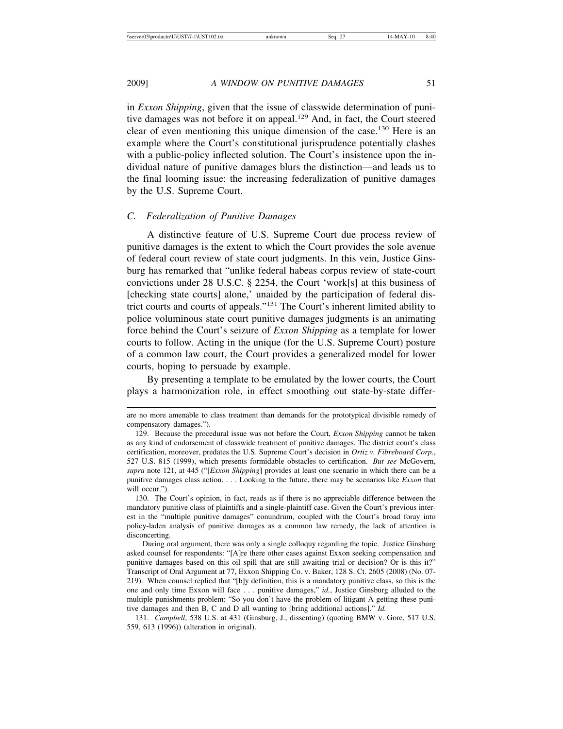in *Exxon Shipping*, given that the issue of classwide determination of punitive damages was not before it on appeal.<sup>129</sup> And, in fact, the Court steered clear of even mentioning this unique dimension of the case.<sup>130</sup> Here is an example where the Court's constitutional jurisprudence potentially clashes with a public-policy inflected solution. The Court's insistence upon the individual nature of punitive damages blurs the distinction—and leads us to the final looming issue: the increasing federalization of punitive damages by the U.S. Supreme Court.

#### *C. Federalization of Punitive Damages*

A distinctive feature of U.S. Supreme Court due process review of punitive damages is the extent to which the Court provides the sole avenue of federal court review of state court judgments. In this vein, Justice Ginsburg has remarked that "unlike federal habeas corpus review of state-court convictions under 28 U.S.C. § 2254, the Court 'work[s] at this business of [checking state courts] alone,' unaided by the participation of federal district courts and courts of appeals."131 The Court's inherent limited ability to police voluminous state court punitive damages judgments is an animating force behind the Court's seizure of *Exxon Shipping* as a template for lower courts to follow. Acting in the unique (for the U.S. Supreme Court) posture of a common law court, the Court provides a generalized model for lower courts, hoping to persuade by example.

By presenting a template to be emulated by the lower courts, the Court plays a harmonization role, in effect smoothing out state-by-state differ-

During oral argument, there was only a single colloquy regarding the topic. Justice Ginsburg asked counsel for respondents: "[A]re there other cases against Exxon seeking compensation and punitive damages based on this oil spill that are still awaiting trial or decision? Or is this it?" Transcript of Oral Argument at 77, Exxon Shipping Co. v. Baker, 128 S. Ct. 2605 (2008) (No. 07- 219). When counsel replied that "[b]y definition, this is a mandatory punitive class, so this is the one and only time Exxon will face . . . punitive damages," *id.*, Justice Ginsburg alluded to the multiple punishments problem: "So you don't have the problem of litigant A getting these punitive damages and then B, C and D all wanting to [bring additional actions]." *Id.*

131. *Campbell*, 538 U.S. at 431 (Ginsburg, J., dissenting) (quoting BMW v. Gore, 517 U.S. 559, 613 (1996)) (alteration in original).

are no more amenable to class treatment than demands for the prototypical divisible remedy of compensatory damages.").

<sup>129.</sup> Because the procedural issue was not before the Court, *Exxon Shipping* cannot be taken as any kind of endorsement of classwide treatment of punitive damages. The district court's class certification, moreover, predates the U.S. Supreme Court's decision in *Ortiz v. Fibreboard Corp.*, 527 U.S. 815 (1999), which presents formidable obstacles to certification. *But see* McGovern, *supra* note 121, at 445 ("[*Exxon Shipping*] provides at least one scenario in which there can be a punitive damages class action. . . . Looking to the future, there may be scenarios like *Exxon* that will occur.").

<sup>130.</sup> The Court's opinion, in fact, reads as if there is no appreciable difference between the mandatory punitive class of plaintiffs and a single-plaintiff case. Given the Court's previous interest in the "multiple punitive damages" conundrum, coupled with the Court's broad foray into policy-laden analysis of punitive damages as a common law remedy, the lack of attention is disconcerting.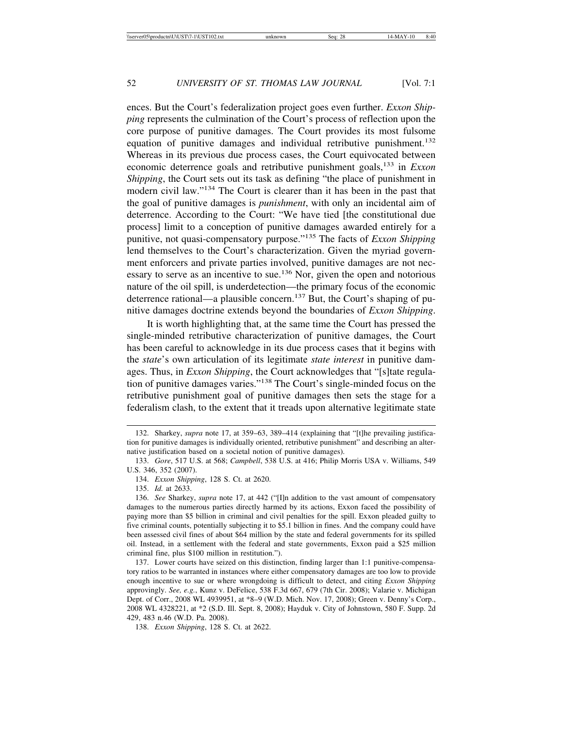ences. But the Court's federalization project goes even further. *Exxon Shipping* represents the culmination of the Court's process of reflection upon the core purpose of punitive damages. The Court provides its most fulsome equation of punitive damages and individual retributive punishment.<sup>132</sup> Whereas in its previous due process cases, the Court equivocated between economic deterrence goals and retributive punishment goals,133 in *Exxon Shipping*, the Court sets out its task as defining "the place of punishment in modern civil law."134 The Court is clearer than it has been in the past that the goal of punitive damages is *punishment*, with only an incidental aim of deterrence. According to the Court: "We have tied [the constitutional due process] limit to a conception of punitive damages awarded entirely for a punitive, not quasi-compensatory purpose."135 The facts of *Exxon Shipping* lend themselves to the Court's characterization. Given the myriad government enforcers and private parties involved, punitive damages are not necessary to serve as an incentive to sue.<sup>136</sup> Nor, given the open and notorious nature of the oil spill, is underdetection—the primary focus of the economic deterrence rational—a plausible concern.<sup>137</sup> But, the Court's shaping of punitive damages doctrine extends beyond the boundaries of *Exxon Shipping*.

It is worth highlighting that, at the same time the Court has pressed the single-minded retributive characterization of punitive damages, the Court has been careful to acknowledge in its due process cases that it begins with the *state*'s own articulation of its legitimate *state interest* in punitive damages. Thus, in *Exxon Shipping*, the Court acknowledges that "[s]tate regulation of punitive damages varies."138 The Court's single-minded focus on the retributive punishment goal of punitive damages then sets the stage for a federalism clash, to the extent that it treads upon alternative legitimate state

<sup>132.</sup> Sharkey, *supra* note 17, at 359–63, 389–414 (explaining that "[t]he prevailing justification for punitive damages is individually oriented, retributive punishment" and describing an alternative justification based on a societal notion of punitive damages).

<sup>133.</sup> *Gore*, 517 U.S. at 568; *Campbell*, 538 U.S. at 416; Philip Morris USA v. Williams, 549 U.S. 346, 352 (2007).

<sup>134.</sup> *Exxon Shipping*, 128 S. Ct. at 2620.

<sup>135.</sup> *Id.* at 2633.

<sup>136.</sup> *See* Sharkey, *supra* note 17, at 442 ("[I]n addition to the vast amount of compensatory damages to the numerous parties directly harmed by its actions, Exxon faced the possibility of paying more than \$5 billion in criminal and civil penalties for the spill. Exxon pleaded guilty to five criminal counts, potentially subjecting it to \$5.1 billion in fines. And the company could have been assessed civil fines of about \$64 million by the state and federal governments for its spilled oil. Instead, in a settlement with the federal and state governments, Exxon paid a \$25 million criminal fine, plus \$100 million in restitution.").

<sup>137.</sup> Lower courts have seized on this distinction, finding larger than 1:1 punitive-compensatory ratios to be warranted in instances where either compensatory damages are too low to provide enough incentive to sue or where wrongdoing is difficult to detect, and citing *Exxon Shipping* approvingly. *See, e.g.*, Kunz v. DeFelice, 538 F.3d 667, 679 (7th Cir. 2008); Valarie v. Michigan Dept. of Corr., 2008 WL 4939951, at \*8–9 (W.D. Mich. Nov. 17, 2008); Green v. Denny's Corp., 2008 WL 4328221, at \*2 (S.D. Ill. Sept. 8, 2008); Hayduk v. City of Johnstown, 580 F. Supp. 2d 429, 483 n.46 (W.D. Pa. 2008).

<sup>138.</sup> *Exxon Shipping*, 128 S. Ct. at 2622.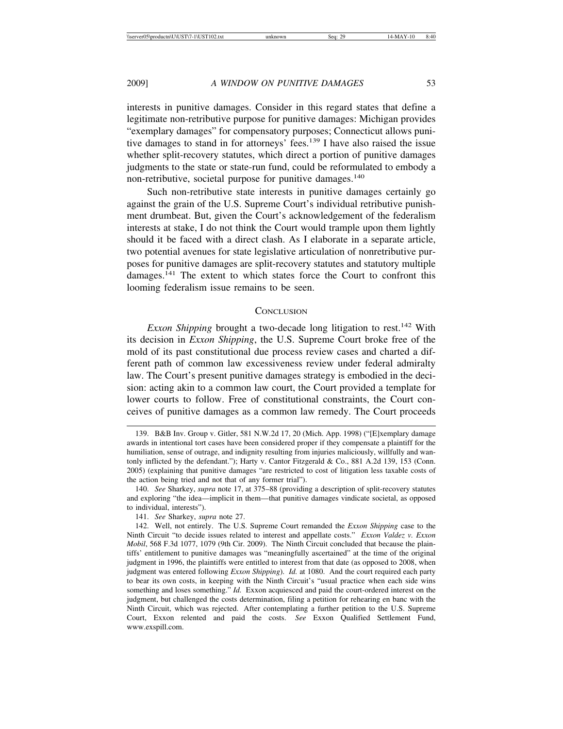interests in punitive damages. Consider in this regard states that define a legitimate non-retributive purpose for punitive damages: Michigan provides "exemplary damages" for compensatory purposes; Connecticut allows punitive damages to stand in for attorneys' fees.<sup>139</sup> I have also raised the issue whether split-recovery statutes, which direct a portion of punitive damages judgments to the state or state-run fund, could be reformulated to embody a non-retributive, societal purpose for punitive damages.<sup>140</sup>

Such non-retributive state interests in punitive damages certainly go against the grain of the U.S. Supreme Court's individual retributive punishment drumbeat. But, given the Court's acknowledgement of the federalism interests at stake, I do not think the Court would trample upon them lightly should it be faced with a direct clash. As I elaborate in a separate article, two potential avenues for state legislative articulation of nonretributive purposes for punitive damages are split-recovery statutes and statutory multiple damages.141 The extent to which states force the Court to confront this looming federalism issue remains to be seen.

#### **CONCLUSION**

*Exxon Shipping* brought a two-decade long litigation to rest.<sup>142</sup> With its decision in *Exxon Shipping*, the U.S. Supreme Court broke free of the mold of its past constitutional due process review cases and charted a different path of common law excessiveness review under federal admiralty law. The Court's present punitive damages strategy is embodied in the decision: acting akin to a common law court, the Court provided a template for lower courts to follow. Free of constitutional constraints, the Court conceives of punitive damages as a common law remedy. The Court proceeds

141. *See* Sharkey, *supra* note 27.

<sup>139.</sup> B&B Inv. Group v. Gitler, 581 N.W.2d 17, 20 (Mich. App. 1998) ("[E]xemplary damage awards in intentional tort cases have been considered proper if they compensate a plaintiff for the humiliation, sense of outrage, and indignity resulting from injuries maliciously, willfully and wantonly inflicted by the defendant."); Harty v. Cantor Fitzgerald & Co., 881 A.2d 139, 153 (Conn. 2005) (explaining that punitive damages "are restricted to cost of litigation less taxable costs of the action being tried and not that of any former trial").

<sup>140.</sup> *See* Sharkey, *supra* note 17, at 375–88 (providing a description of split-recovery statutes and exploring "the idea—implicit in them—that punitive damages vindicate societal, as opposed to individual, interests").

<sup>142.</sup> Well, not entirely. The U.S. Supreme Court remanded the *Exxon Shipping* case to the Ninth Circuit "to decide issues related to interest and appellate costs." *Exxon Valdez v. Exxon Mobil*, 568 F.3d 1077, 1079 (9th Cir. 2009). The Ninth Circuit concluded that because the plaintiffs' entitlement to punitive damages was "meaningfully ascertained" at the time of the original judgment in 1996, the plaintiffs were entitled to interest from that date (as opposed to 2008, when judgment was entered following *Exxon Shipping*). *Id.* at 1080. And the court required each party to bear its own costs, in keeping with the Ninth Circuit's "usual practice when each side wins something and loses something." *Id.* Exxon acquiesced and paid the court-ordered interest on the judgment, but challenged the costs determination, filing a petition for rehearing en banc with the Ninth Circuit, which was rejected. After contemplating a further petition to the U.S. Supreme Court, Exxon relented and paid the costs. *See* Exxon Qualified Settlement Fund, www.exspill.com.